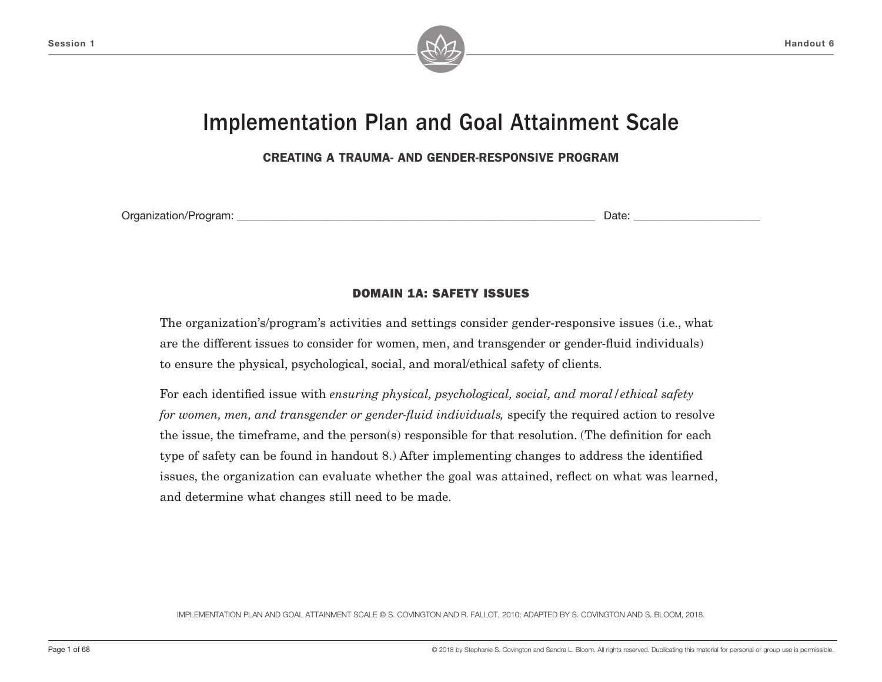

# Implementation Plan and Goal Attainment Scale

CREATING A TRAUMA- AND GENDER-RESPONSIVE PROGRAM

Organization/Program: \_\_\_\_\_\_\_\_\_\_\_\_\_\_\_\_\_\_\_\_\_\_\_\_\_\_\_\_\_\_\_\_\_\_\_\_\_\_\_\_\_\_\_\_\_\_\_\_\_\_\_\_\_\_\_\_\_\_\_\_\_\_\_\_\_\_\_\_\_\_\_\_\_\_\_\_\_\_\_\_\_\_\_\_\_\_\_\_\_\_\_\_\_\_\_\_\_\_\_\_\_\_ Date: \_\_\_\_\_\_\_\_\_\_\_\_\_\_\_\_\_\_\_\_\_\_\_\_\_\_\_\_\_\_\_\_\_\_\_\_

### DOMAIN 1A: SAFETY ISSUES

The organization's/program's activities and settings consider gender-responsive issues (i.e., what are the different issues to consider for women, men, and transgender or gender-fluid individuals) to ensure the physical, psychological, social, and moral/ethical safety of clients.

For each identified issue with *ensuring physical, psychological, social, and moral/ethical safety for women, men, and transgender or gender-fluid individuals,* specify the required action to resolve the issue, the timeframe, and the person(s) responsible for that resolution. (The definition for each type of safety can be found in handout 8.) After implementing changes to address the identified issues, the organization can evaluate whether the goal was attained, reflect on what was learned, and determine what changes still need to be made.

IMPLEMENTATION PLAN AND GOAL ATTAINMENT SCALE © S. COVINGTON AND R. FALLOT, 2010; ADAPTED BY S. COVINGTON AND S. BLOOM, 2018.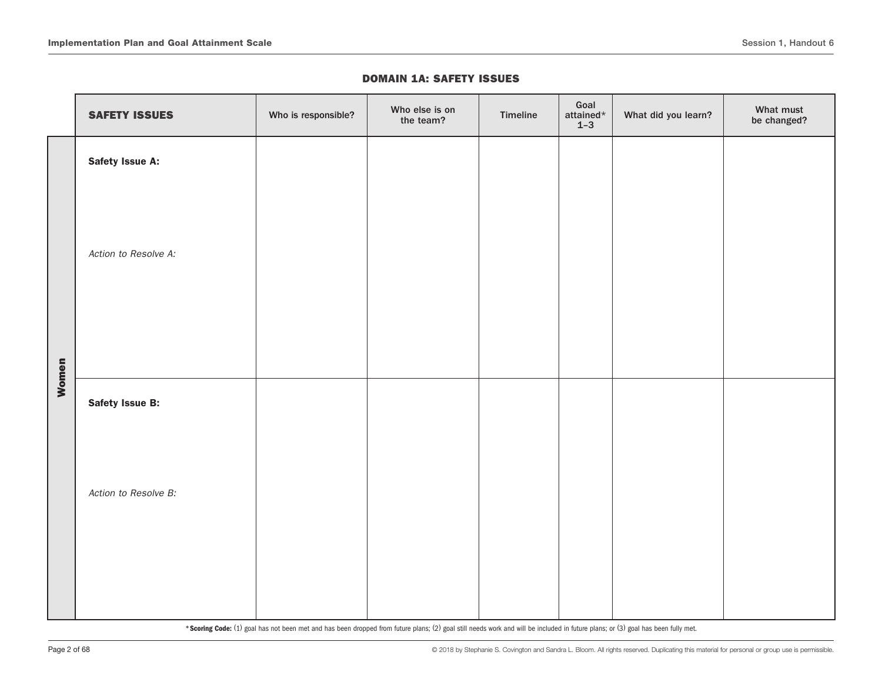#### DOMAIN 1A: SAFETY ISSUES

|       | <b>SAFETY ISSUES</b> | Who is responsible? | Who else is on<br>the team? | Timeline | Goal<br>attained $^\star$<br>$1 - 3$ | What did you learn? | What must<br>be changed? |
|-------|----------------------|---------------------|-----------------------------|----------|--------------------------------------|---------------------|--------------------------|
|       | Safety Issue A:      |                     |                             |          |                                      |                     |                          |
|       | Action to Resolve A: |                     |                             |          |                                      |                     |                          |
| Women | Safety Issue B:      |                     |                             |          |                                      |                     |                          |
|       | Action to Resolve B: |                     |                             |          |                                      |                     |                          |
|       |                      |                     |                             |          |                                      |                     |                          |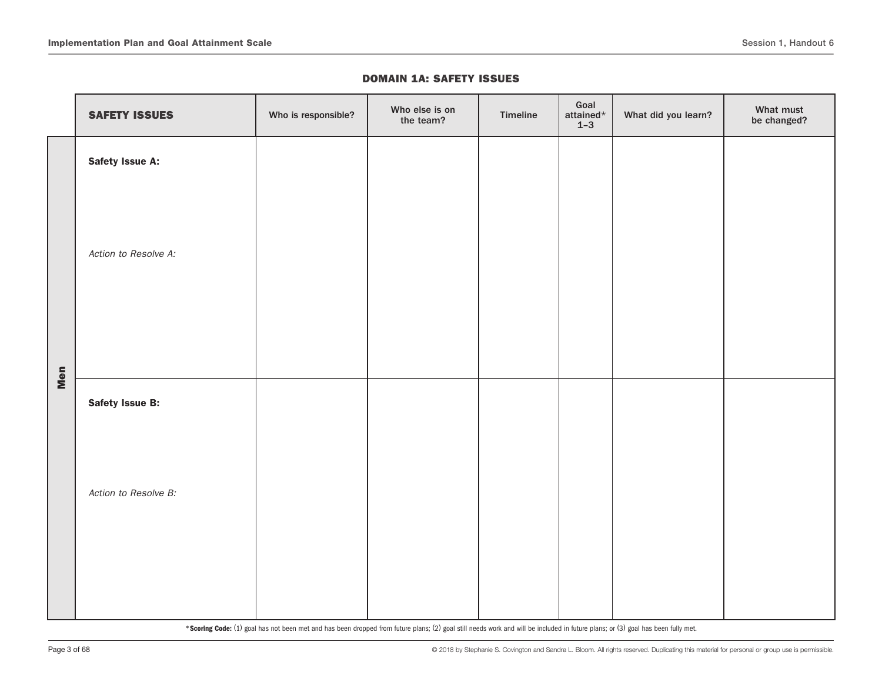#### DOMAIN 1A: SAFETY ISSUES

|     | <b>SAFETY ISSUES</b> | Who is responsible? | Who else is on<br>the team? | Timeline | Goal<br>attained $\star$<br>$1-3$ | What did you learn? | What must<br>be changed? |
|-----|----------------------|---------------------|-----------------------------|----------|-----------------------------------|---------------------|--------------------------|
|     | Safety Issue A:      |                     |                             |          |                                   |                     |                          |
|     | Action to Resolve A: |                     |                             |          |                                   |                     |                          |
| Men | Safety Issue B:      |                     |                             |          |                                   |                     |                          |
|     | Action to Resolve B: |                     |                             |          |                                   |                     |                          |
|     |                      |                     |                             |          |                                   |                     |                          |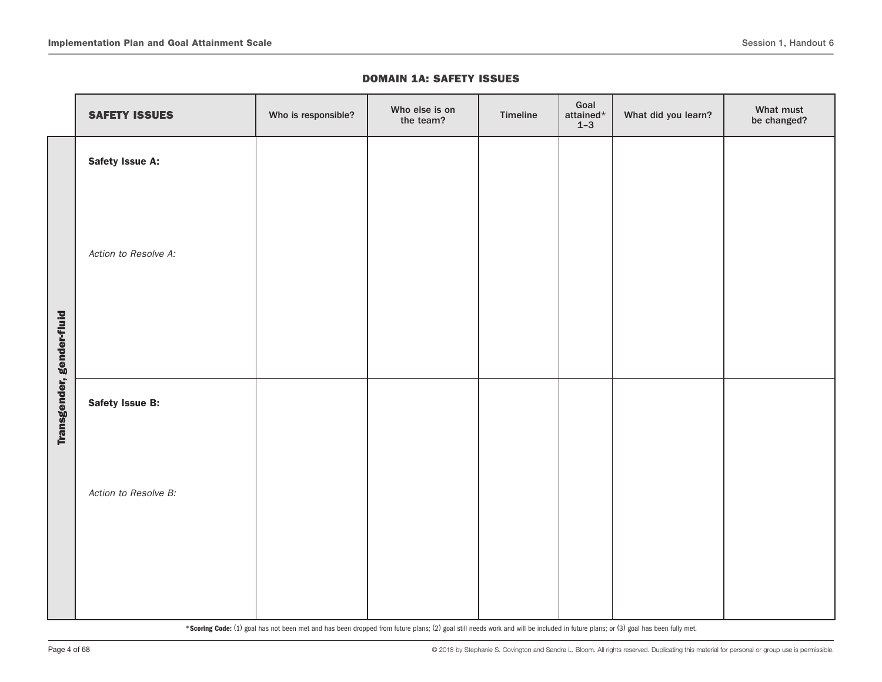#### DOMAIN 1A: SAFETY ISSUES

|                           | <b>SAFETY ISSUES</b> | Who is responsible? | Who else is on<br>the team? | Timeline | Goal<br>attained $\star$<br>$1 - 3$ | What did you learn? | What must<br>be changed? |
|---------------------------|----------------------|---------------------|-----------------------------|----------|-------------------------------------|---------------------|--------------------------|
|                           | Safety Issue A:      |                     |                             |          |                                     |                     |                          |
|                           | Action to Resolve A: |                     |                             |          |                                     |                     |                          |
| Transgender, gender-fluid | Safety Issue B:      |                     |                             |          |                                     |                     |                          |
|                           | Action to Resolve B: |                     |                             |          |                                     |                     |                          |
|                           |                      |                     |                             |          |                                     |                     |                          |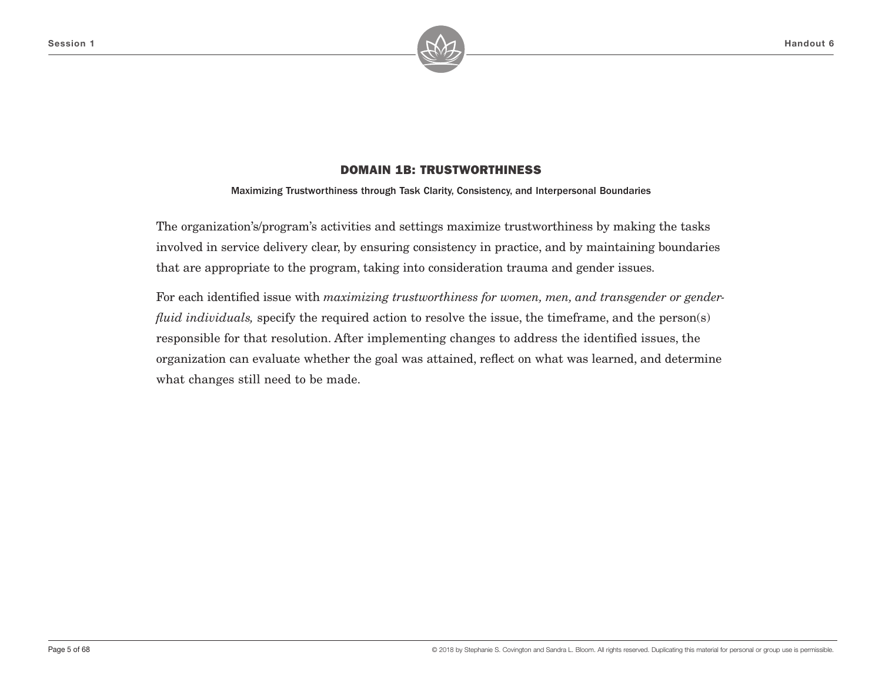

Maximizing Trustworthiness through Task Clarity, Consistency, and Interpersonal Boundaries

The organization's/program's activities and settings maximize trustworthiness by making the tasks involved in service delivery clear, by ensuring consistency in practice, and by maintaining boundaries that are appropriate to the program, taking into consideration trauma and gender issues.

For each identified issue with *maximizing trustworthiness for women, men, and transgender or genderfluid individuals,* specify the required action to resolve the issue, the timeframe, and the person(s) responsible for that resolution. After implementing changes to address the identified issues, the organization can evaluate whether the goal was attained, reflect on what was learned, and determine what changes still need to be made.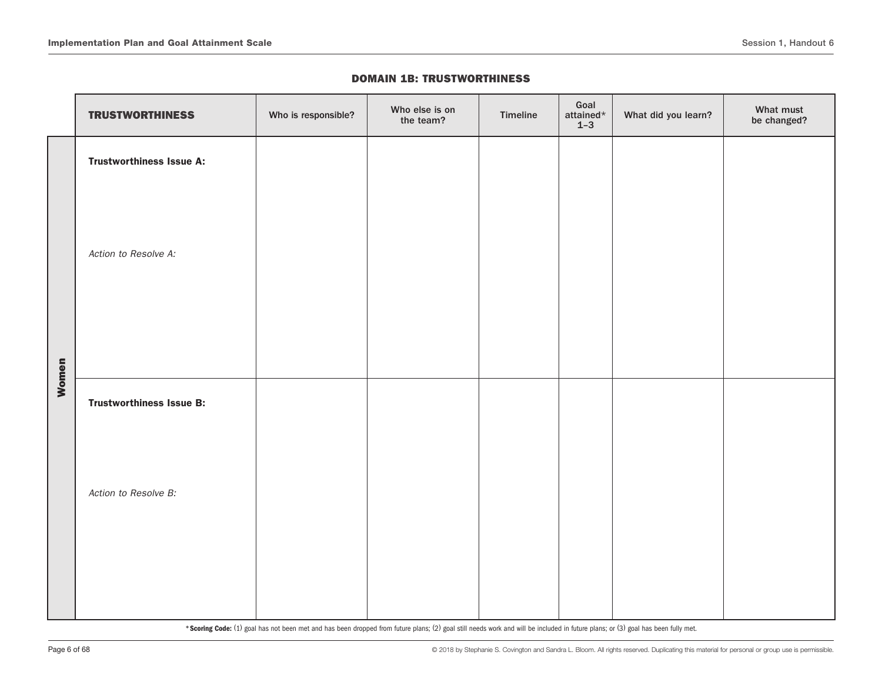|       | <b>TRUSTWORTHINESS</b>          | Who is responsible? | Who else is on<br>the team? | Timeline | Goal<br>attained $\star$<br>$1 - 3$ | What did you learn? | What must<br>be changed? |
|-------|---------------------------------|---------------------|-----------------------------|----------|-------------------------------------|---------------------|--------------------------|
|       | <b>Trustworthiness Issue A:</b> |                     |                             |          |                                     |                     |                          |
|       | Action to Resolve A:            |                     |                             |          |                                     |                     |                          |
| Women | <b>Trustworthiness Issue B:</b> |                     |                             |          |                                     |                     |                          |
|       | Action to Resolve B:            |                     |                             |          |                                     |                     |                          |
|       |                                 |                     |                             |          |                                     |                     |                          |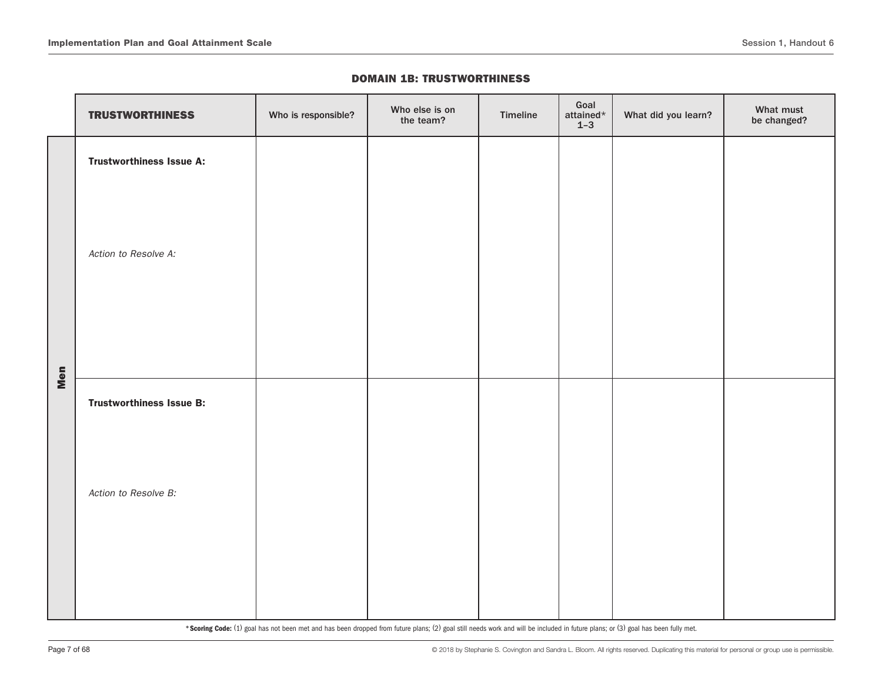|     | <b>TRUSTWORTHINESS</b>          | Who is responsible? | Who else is on<br>the team? | Timeline | Goal<br>attained*<br>$1 - 3$ | What did you learn? | What must<br>be changed? |
|-----|---------------------------------|---------------------|-----------------------------|----------|------------------------------|---------------------|--------------------------|
|     | <b>Trustworthiness Issue A:</b> |                     |                             |          |                              |                     |                          |
|     | Action to Resolve A:            |                     |                             |          |                              |                     |                          |
| Men | <b>Trustworthiness Issue B:</b> |                     |                             |          |                              |                     |                          |
|     | Action to Resolve B:            |                     |                             |          |                              |                     |                          |
|     |                                 |                     |                             |          |                              |                     |                          |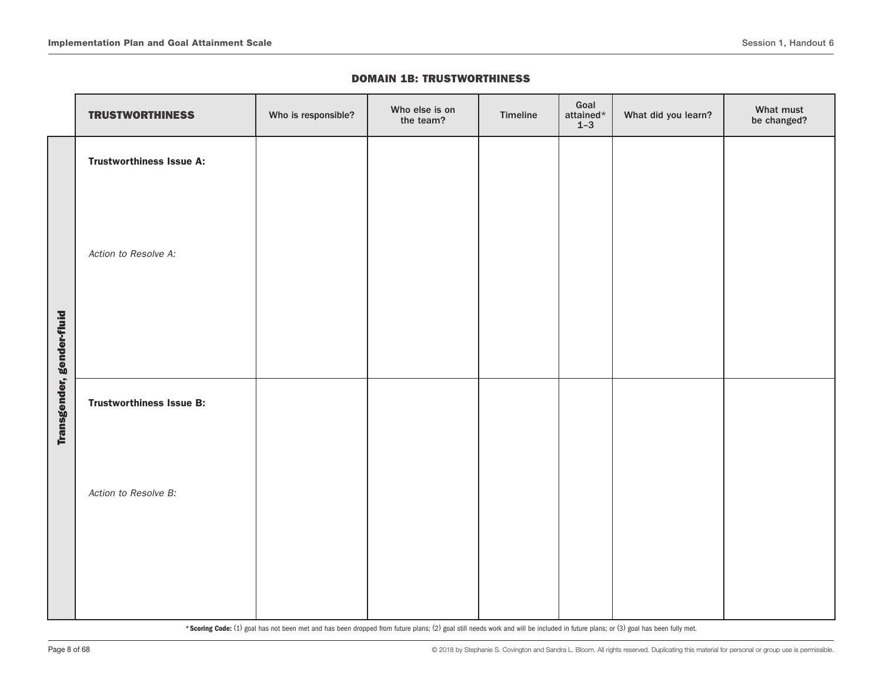|                           | <b>TRUSTWORTHINESS</b>          | Who is responsible? | Who else is on<br>the team? | Timeline | Goal<br>attained $*$<br>$1 - 3$ | What did you learn? | What must<br>be changed? |
|---------------------------|---------------------------------|---------------------|-----------------------------|----------|---------------------------------|---------------------|--------------------------|
|                           | <b>Trustworthiness Issue A:</b> |                     |                             |          |                                 |                     |                          |
|                           | Action to Resolve A:            |                     |                             |          |                                 |                     |                          |
| Transgender, gender-fluid | <b>Trustworthiness Issue B:</b> |                     |                             |          |                                 |                     |                          |
|                           | Action to Resolve B:            |                     |                             |          |                                 |                     |                          |
|                           |                                 |                     |                             |          |                                 |                     |                          |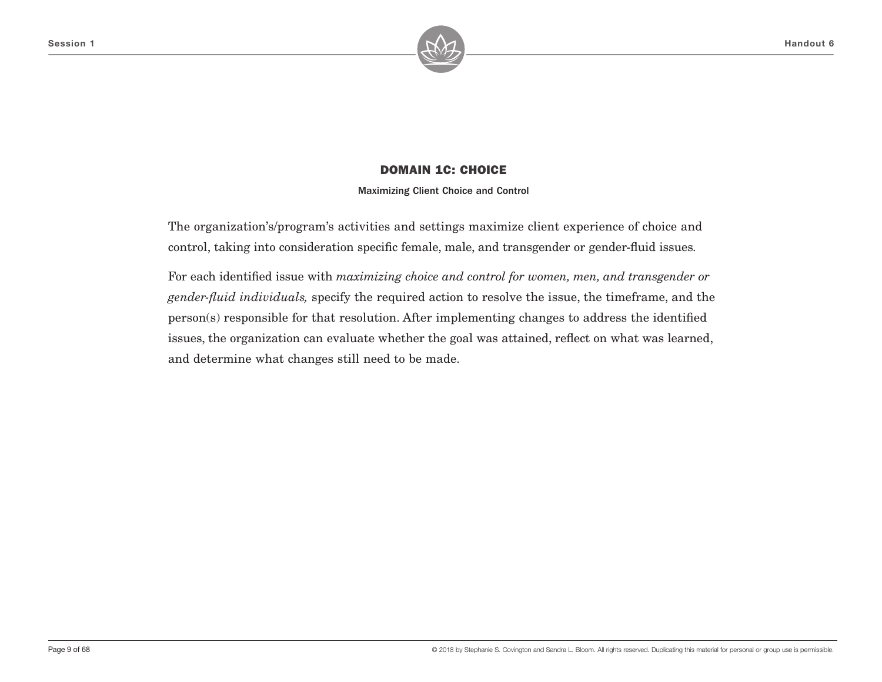

Maximizing Client Choice and Control

The organization's/program's activities and settings maximize client experience of choice and control, taking into consideration specific female, male, and transgender or gender-fluid issues.

For each identified issue with *maximizing choice and control for women, men, and transgender or gender-fluid individuals,* specify the required action to resolve the issue, the timeframe, and the person(s) responsible for that resolution. After implementing changes to address the identified issues, the organization can evaluate whether the goal was attained, reflect on what was learned, and determine what changes still need to be made.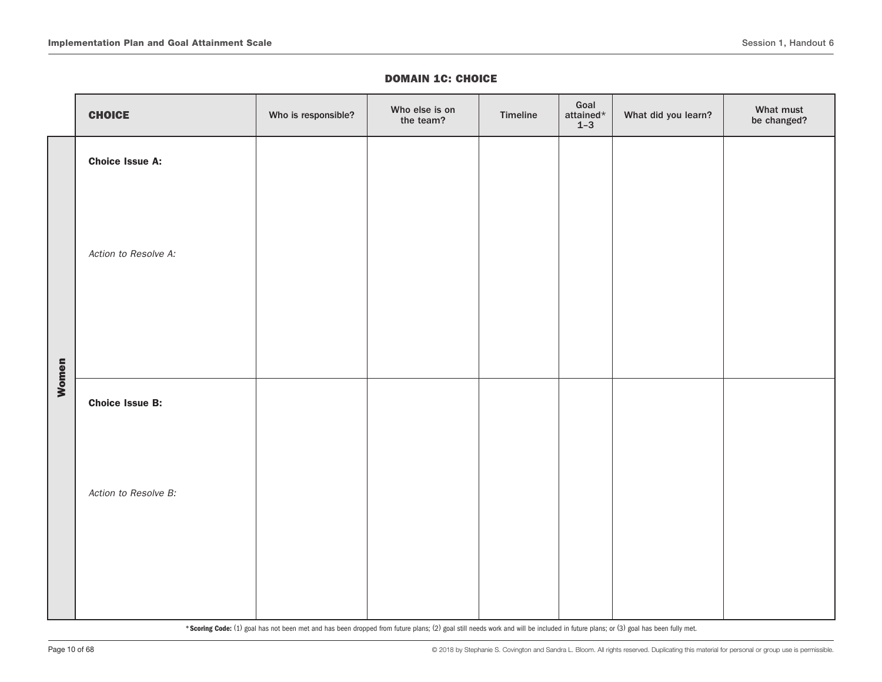|       | <b>CHOICE</b>          | Who is responsible? | Who else is on<br>the team? | Timeline | Goal<br>attained $^\star$<br>$1 - 3$ | What did you learn? | What must<br>be changed? |
|-------|------------------------|---------------------|-----------------------------|----------|--------------------------------------|---------------------|--------------------------|
|       | <b>Choice Issue A:</b> |                     |                             |          |                                      |                     |                          |
|       | Action to Resolve A:   |                     |                             |          |                                      |                     |                          |
| Women | <b>Choice Issue B:</b> |                     |                             |          |                                      |                     |                          |
|       | Action to Resolve B:   |                     |                             |          |                                      |                     |                          |
|       |                        |                     |                             |          |                                      |                     |                          |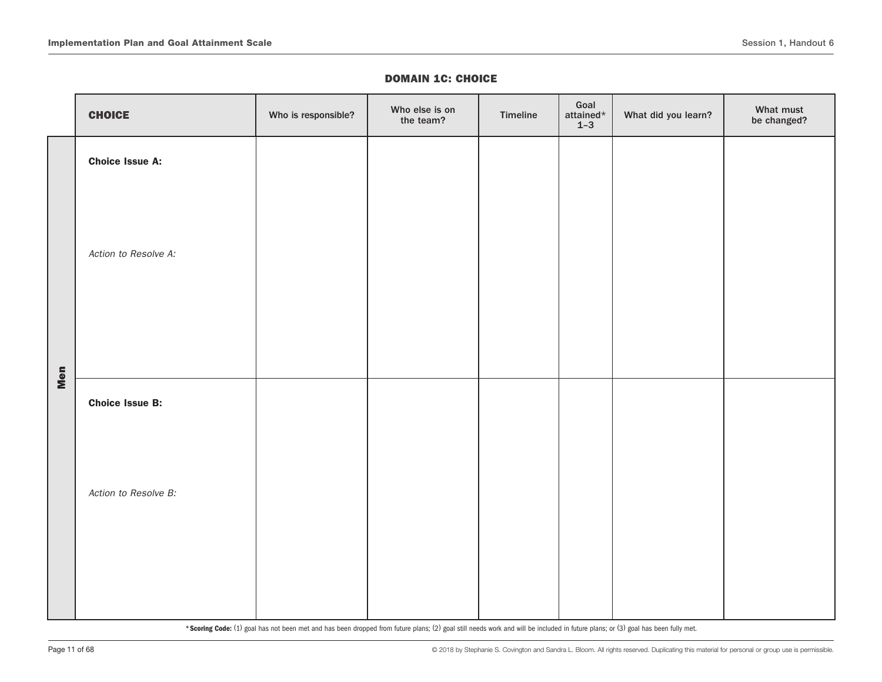|     | <b>CHOICE</b>          | Who is responsible? | Who else is on<br>the team? | Timeline | Goal<br>attained $\star$<br>$1 - 3$ | What did you learn? | What must<br>be changed? |
|-----|------------------------|---------------------|-----------------------------|----------|-------------------------------------|---------------------|--------------------------|
|     | <b>Choice Issue A:</b> |                     |                             |          |                                     |                     |                          |
|     | Action to Resolve A:   |                     |                             |          |                                     |                     |                          |
| Men | <b>Choice Issue B:</b> |                     |                             |          |                                     |                     |                          |
|     | Action to Resolve B:   |                     |                             |          |                                     |                     |                          |
|     |                        |                     |                             |          |                                     |                     |                          |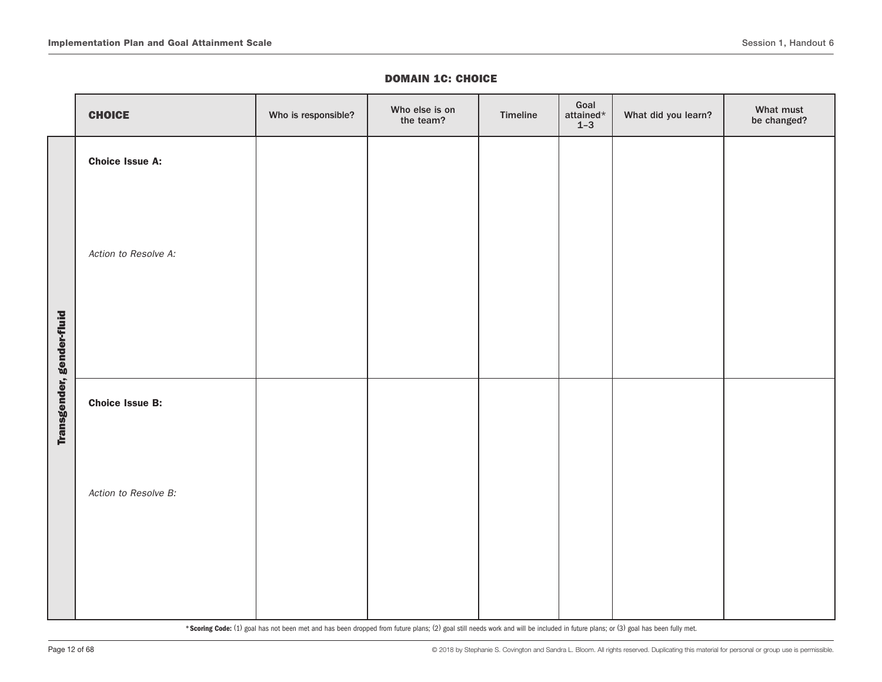|                           | <b>CHOICE</b>          | Who is responsible? | Who else is on<br>the team? | Timeline | Goal<br>attained*<br>$1 - 3$ | What did you learn? | What must<br>be changed? |
|---------------------------|------------------------|---------------------|-----------------------------|----------|------------------------------|---------------------|--------------------------|
|                           | <b>Choice Issue A:</b> |                     |                             |          |                              |                     |                          |
|                           | Action to Resolve A:   |                     |                             |          |                              |                     |                          |
| Transgender, gender-fluid | <b>Choice Issue B:</b> |                     |                             |          |                              |                     |                          |
|                           | Action to Resolve B:   |                     |                             |          |                              |                     |                          |
|                           |                        |                     |                             |          |                              |                     |                          |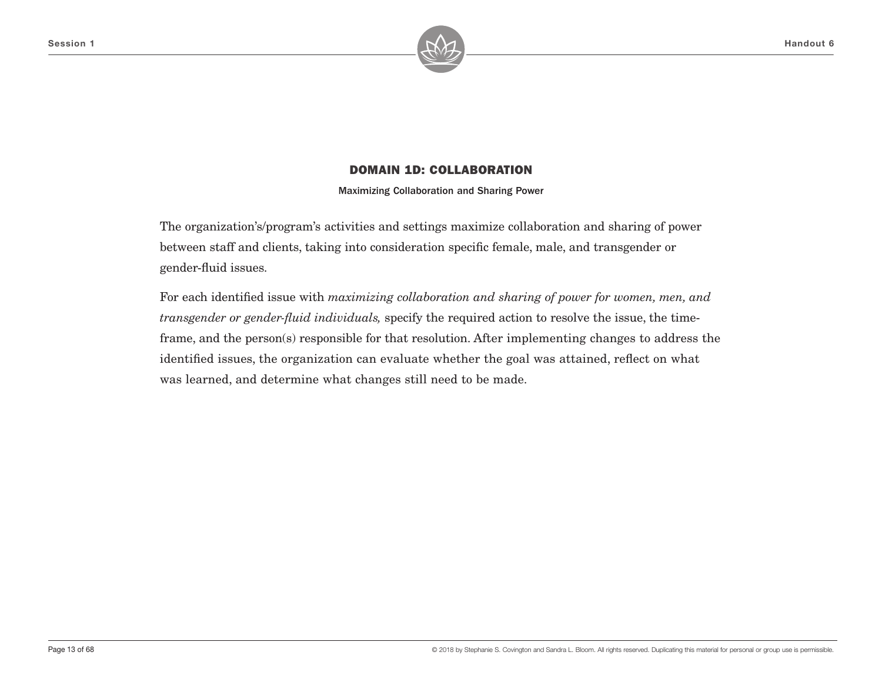

Maximizing Collaboration and Sharing Power

The organization's/program's activities and settings maximize collaboration and sharing of power between staff and clients, taking into consideration specific female, male, and transgender or gender-fluid issues.

For each identified issue with *maximizing collaboration and sharing of power for women, men, and transgender or gender-fluid individuals,* specify the required action to resolve the issue, the timeframe, and the person(s) responsible for that resolution. After implementing changes to address the identified issues, the organization can evaluate whether the goal was attained, reflect on what was learned, and determine what changes still need to be made.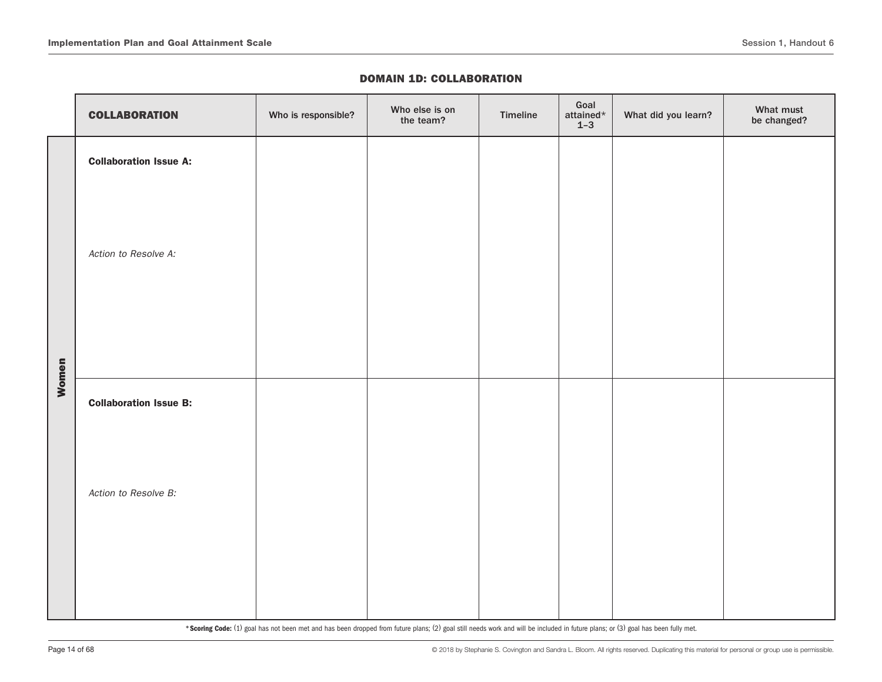|       | <b>COLLABORATION</b>          | Who is responsible? | Who else is on<br>the team? | Timeline | Goal<br>attained $\star$<br>$1 - 3$ | What did you learn? | What must<br>be changed? |
|-------|-------------------------------|---------------------|-----------------------------|----------|-------------------------------------|---------------------|--------------------------|
|       | <b>Collaboration Issue A:</b> |                     |                             |          |                                     |                     |                          |
|       | Action to Resolve A:          |                     |                             |          |                                     |                     |                          |
| Women |                               |                     |                             |          |                                     |                     |                          |
|       | <b>Collaboration Issue B:</b> |                     |                             |          |                                     |                     |                          |
|       | Action to Resolve B:          |                     |                             |          |                                     |                     |                          |
|       |                               |                     |                             |          |                                     |                     |                          |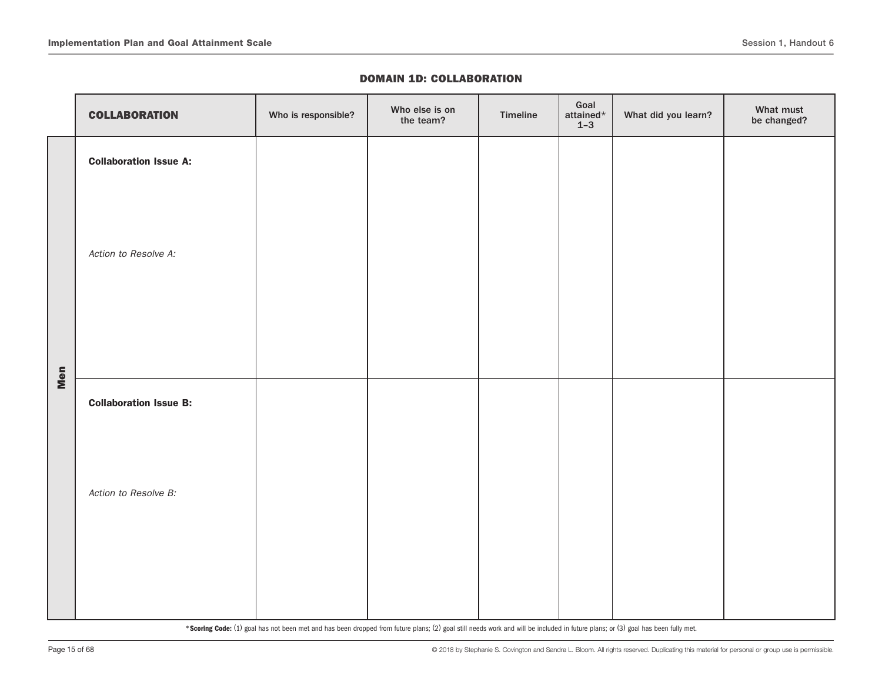|     | <b>COLLABORATION</b>          | Who is responsible? | Who else is on<br>the team? | Timeline | Goal<br>attained $\star$<br>$1 - 3$ | What did you learn? | What must<br>be changed? |
|-----|-------------------------------|---------------------|-----------------------------|----------|-------------------------------------|---------------------|--------------------------|
|     | <b>Collaboration Issue A:</b> |                     |                             |          |                                     |                     |                          |
|     | Action to Resolve A:          |                     |                             |          |                                     |                     |                          |
| Men | <b>Collaboration Issue B:</b> |                     |                             |          |                                     |                     |                          |
|     | Action to Resolve B:          |                     |                             |          |                                     |                     |                          |
|     |                               |                     |                             |          |                                     |                     |                          |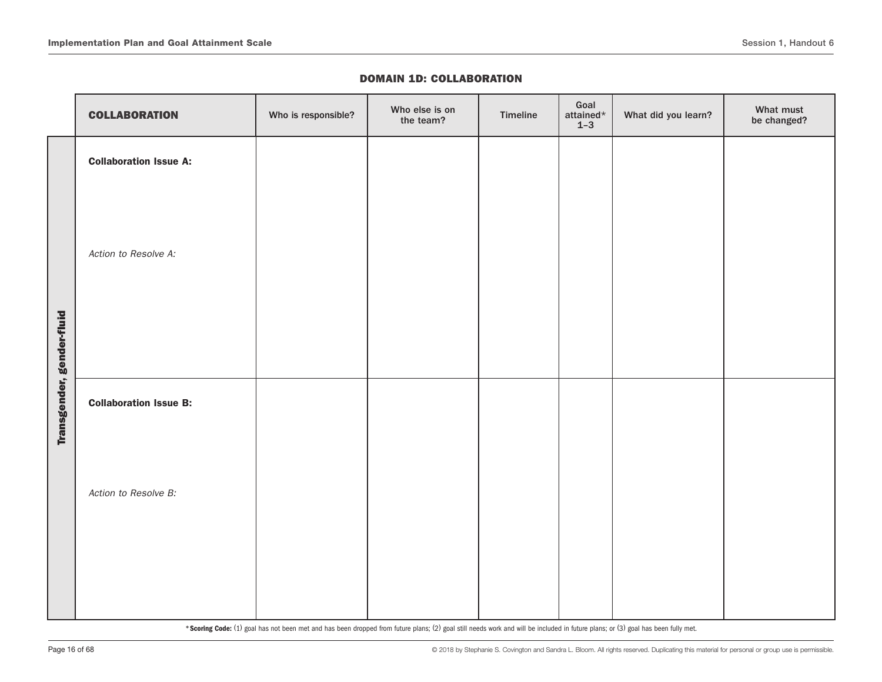|                           | <b>COLLABORATION</b>          | Who is responsible? | Who else is on<br>the team? | Timeline | Goal<br>attained $\star$<br>$1 - 3$ | What did you learn? | What must<br>be changed? |
|---------------------------|-------------------------------|---------------------|-----------------------------|----------|-------------------------------------|---------------------|--------------------------|
|                           | <b>Collaboration Issue A:</b> |                     |                             |          |                                     |                     |                          |
|                           | Action to Resolve A:          |                     |                             |          |                                     |                     |                          |
| Transgender, gender-fluid | <b>Collaboration Issue B:</b> |                     |                             |          |                                     |                     |                          |
|                           | Action to Resolve B:          |                     |                             |          |                                     |                     |                          |
|                           |                               |                     |                             |          |                                     |                     |                          |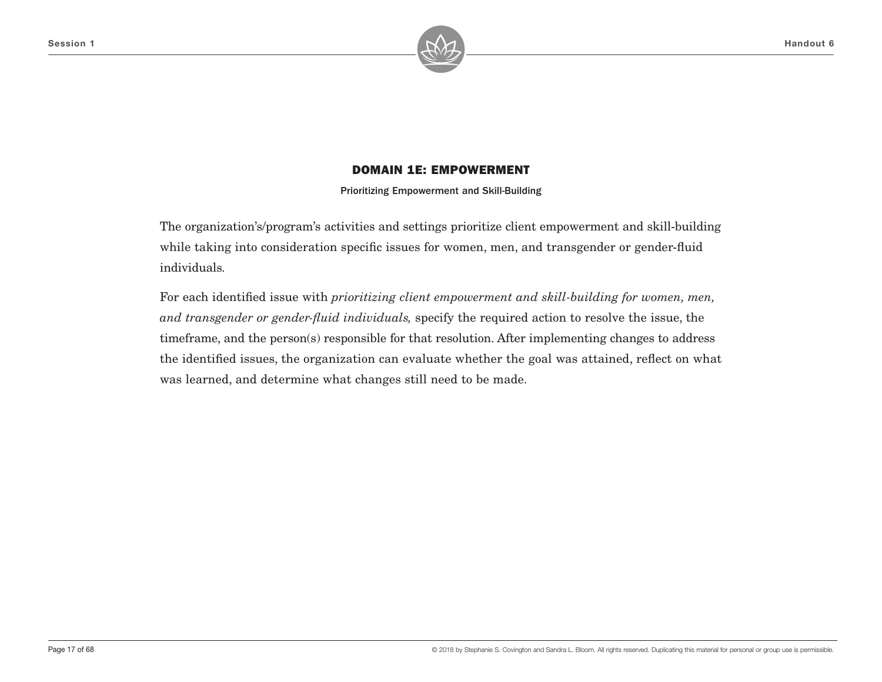

Prioritizing Empowerment and Skill-Building

The organization's/program's activities and settings prioritize client empowerment and skill-building while taking into consideration specific issues for women, men, and transgender or gender-fluid individuals.

For each identified issue with *prioritizing client empowerment and skill-building for women, men, and transgender or gender-fluid individuals,* specify the required action to resolve the issue, the timeframe, and the person(s) responsible for that resolution. After implementing changes to address the identified issues, the organization can evaluate whether the goal was attained, reflect on what was learned, and determine what changes still need to be made.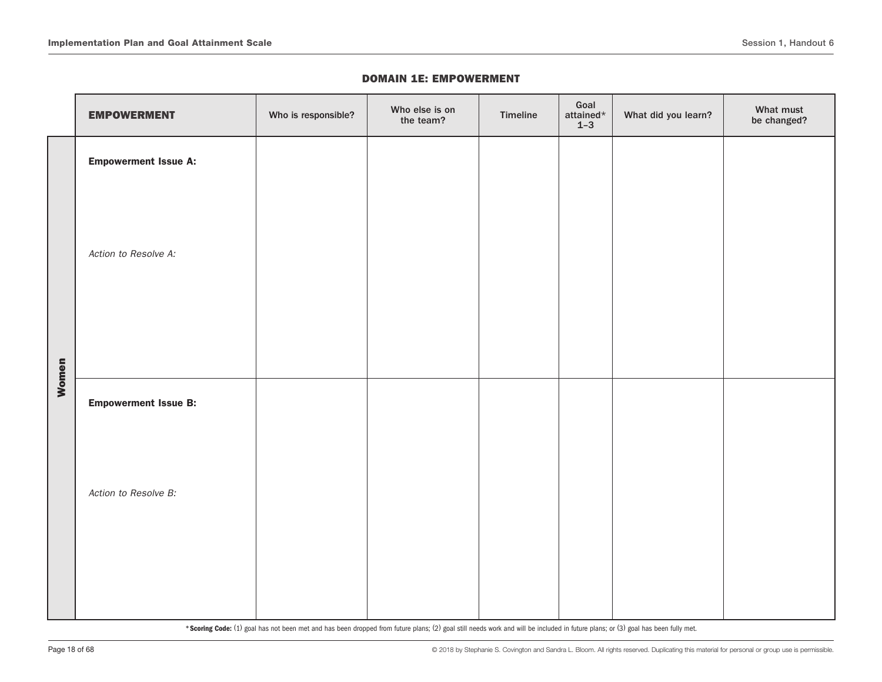|       | <b>EMPOWERMENT</b>          | Who is responsible? | Who else is on<br>the team? | Timeline | Goal<br>attained $\star$<br>$1 - 3$ | What did you learn? | What must<br>be changed? |
|-------|-----------------------------|---------------------|-----------------------------|----------|-------------------------------------|---------------------|--------------------------|
|       | <b>Empowerment Issue A:</b> |                     |                             |          |                                     |                     |                          |
|       | Action to Resolve A:        |                     |                             |          |                                     |                     |                          |
| Women | <b>Empowerment Issue B:</b> |                     |                             |          |                                     |                     |                          |
|       | Action to Resolve B:        |                     |                             |          |                                     |                     |                          |
|       |                             |                     |                             |          |                                     |                     |                          |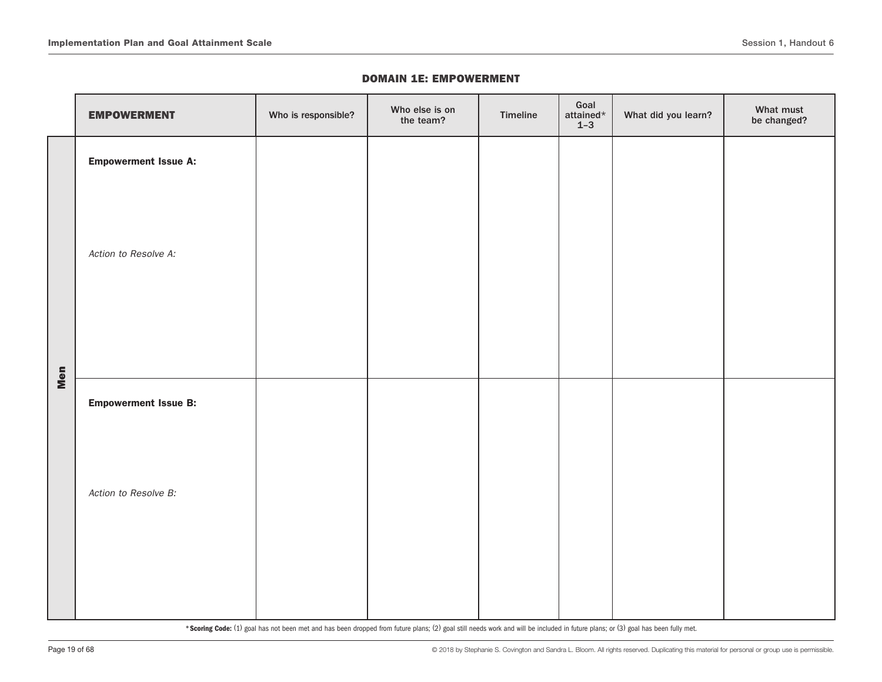|     | <b>EMPOWERMENT</b>          | Who is responsible? | Who else is on<br>the team? | Timeline | Goal<br>attained $\star$<br>$1 - 3$ | What did you learn? | What must<br>be changed? |
|-----|-----------------------------|---------------------|-----------------------------|----------|-------------------------------------|---------------------|--------------------------|
|     | <b>Empowerment Issue A:</b> |                     |                             |          |                                     |                     |                          |
|     | Action to Resolve A:        |                     |                             |          |                                     |                     |                          |
| Men | <b>Empowerment Issue B:</b> |                     |                             |          |                                     |                     |                          |
|     | Action to Resolve B:        |                     |                             |          |                                     |                     |                          |
|     |                             |                     |                             |          |                                     |                     |                          |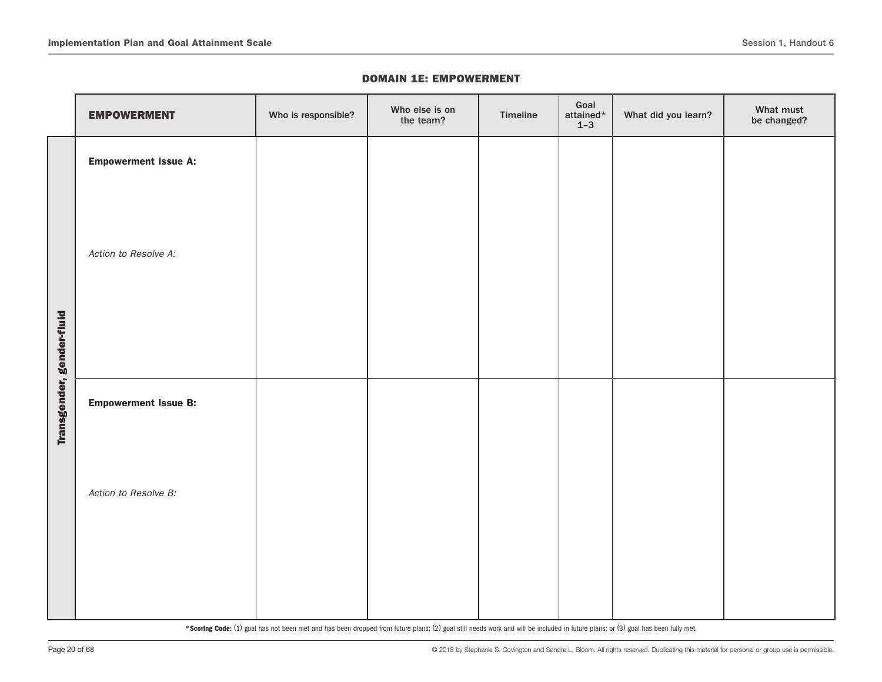|                           | <b>EMPOWERMENT</b>          | Who is responsible? | Who else is on<br>the team? | Timeline | Goal<br>attained $\star$<br>$1-3$ | What did you learn? | What must<br>be changed? |
|---------------------------|-----------------------------|---------------------|-----------------------------|----------|-----------------------------------|---------------------|--------------------------|
|                           | <b>Empowerment Issue A:</b> |                     |                             |          |                                   |                     |                          |
|                           | Action to Resolve A:        |                     |                             |          |                                   |                     |                          |
| Transgender, gender-fluid | <b>Empowerment Issue B:</b> |                     |                             |          |                                   |                     |                          |
|                           | Action to Resolve B:        |                     |                             |          |                                   |                     |                          |
|                           |                             |                     |                             |          |                                   |                     |                          |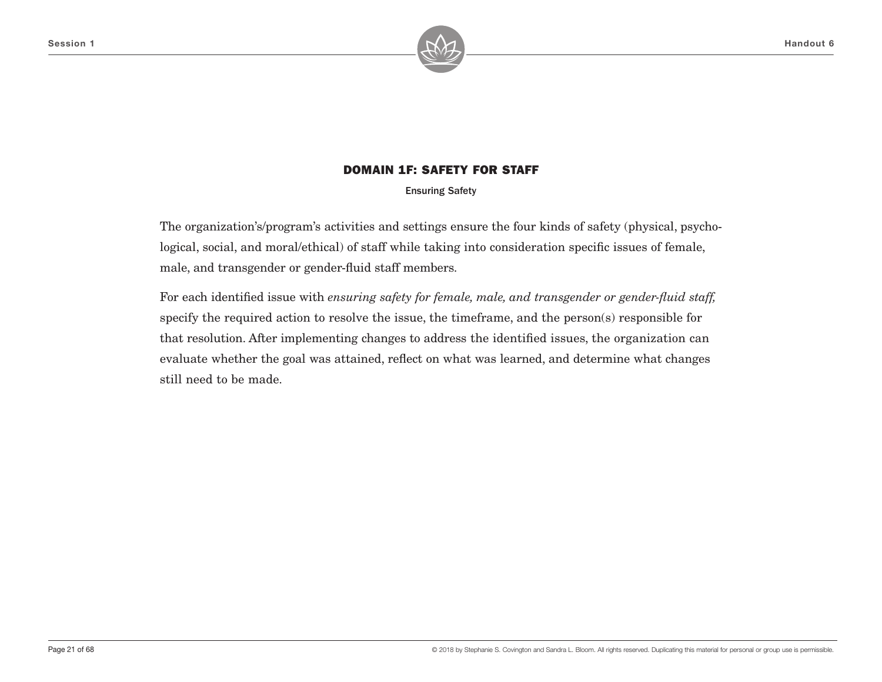

Ensuring Safety

The organization's/program's activities and settings ensure the four kinds of safety (physical, psychological, social, and moral/ethical) of staff while taking into consideration specific issues of female, male, and transgender or gender-fluid staff members.

For each identified issue with *ensuring safety for female, male, and transgender or gender-fluid staff,* specify the required action to resolve the issue, the timeframe, and the person(s) responsible for that resolution. After implementing changes to address the identified issues, the organization can evaluate whether the goal was attained, reflect on what was learned, and determine what changes still need to be made.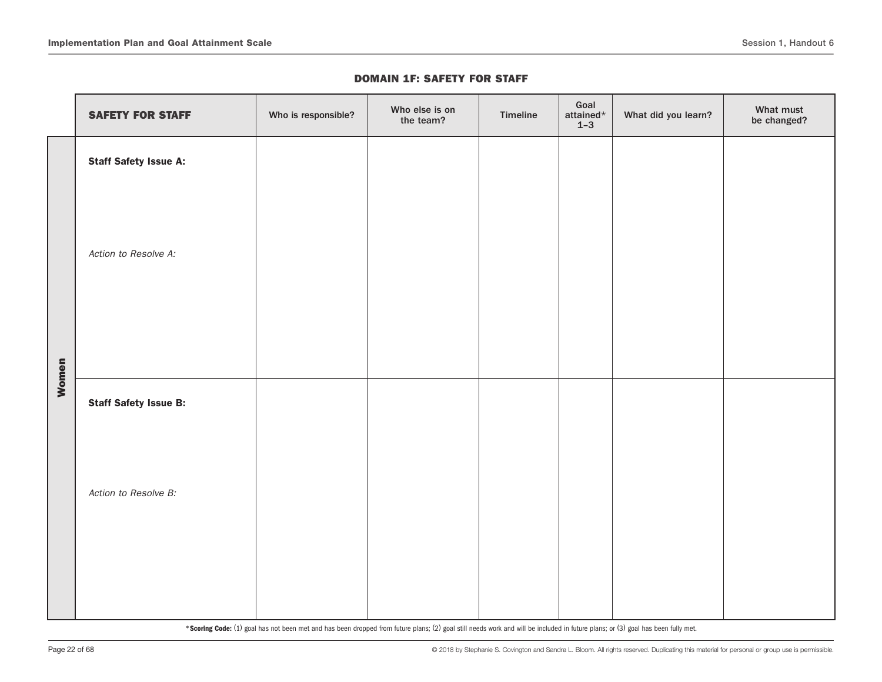|       | <b>SAFETY FOR STAFF</b>      | Who is responsible? | Who else is on<br>the team? | Timeline | Goal<br>attained $\star$<br>$1 - 3$ | What did you learn? | What must<br>be changed? |
|-------|------------------------------|---------------------|-----------------------------|----------|-------------------------------------|---------------------|--------------------------|
|       | <b>Staff Safety Issue A:</b> |                     |                             |          |                                     |                     |                          |
|       | Action to Resolve A:         |                     |                             |          |                                     |                     |                          |
| Women | <b>Staff Safety Issue B:</b> |                     |                             |          |                                     |                     |                          |
|       | Action to Resolve B:         |                     |                             |          |                                     |                     |                          |
|       |                              |                     |                             |          |                                     |                     |                          |
|       |                              |                     |                             |          |                                     |                     |                          |
|       |                              |                     |                             |          |                                     |                     |                          |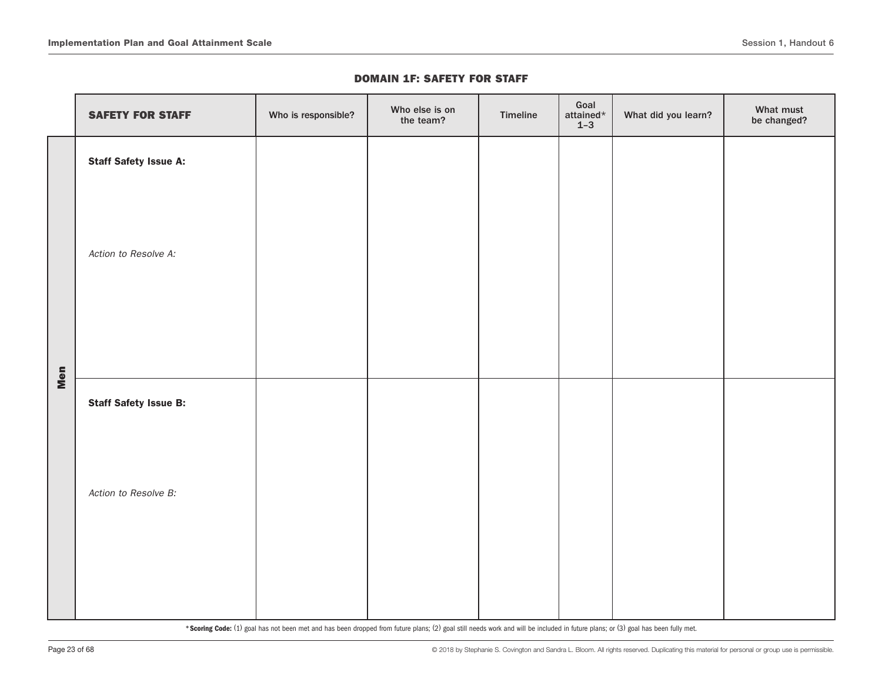|     | <b>SAFETY FOR STAFF</b>      | Who is responsible? | Who else is on<br>the team? | Timeline | Goal<br>attained $^\star$<br>$1 - 3$ | What did you learn? | What must<br>be changed? |
|-----|------------------------------|---------------------|-----------------------------|----------|--------------------------------------|---------------------|--------------------------|
|     | <b>Staff Safety Issue A:</b> |                     |                             |          |                                      |                     |                          |
|     | Action to Resolve A:         |                     |                             |          |                                      |                     |                          |
| Men | <b>Staff Safety Issue B:</b> |                     |                             |          |                                      |                     |                          |
|     | Action to Resolve B:         |                     |                             |          |                                      |                     |                          |
|     |                              |                     |                             |          |                                      |                     |                          |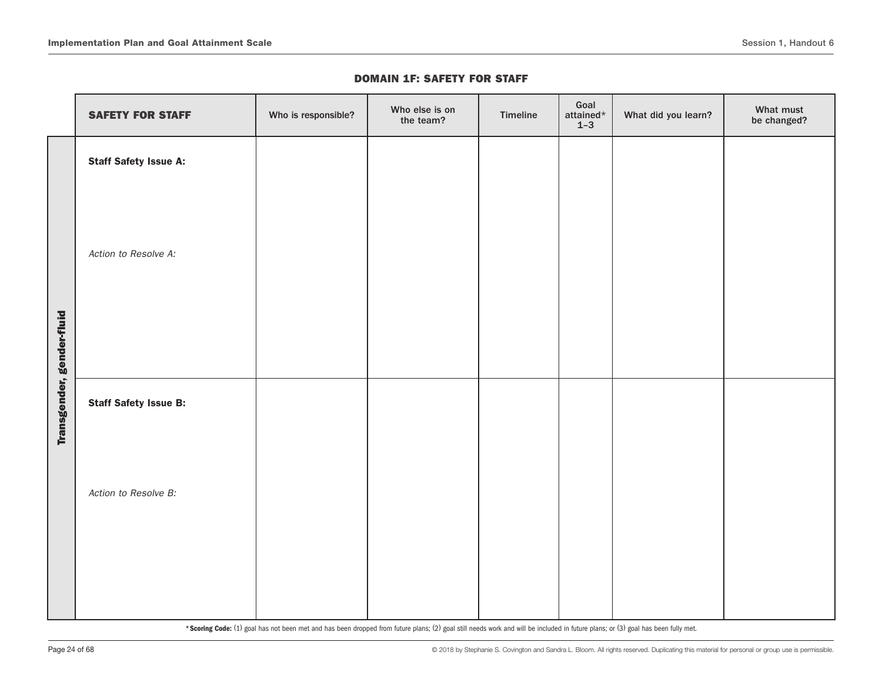|                           | <b>SAFETY FOR STAFF</b>      | Who is responsible? | Who else is on<br>the team? | Timeline | Goal<br>attained*<br>$1 - 3$ | What did you learn? | What must<br>be changed? |
|---------------------------|------------------------------|---------------------|-----------------------------|----------|------------------------------|---------------------|--------------------------|
|                           | <b>Staff Safety Issue A:</b> |                     |                             |          |                              |                     |                          |
|                           | Action to Resolve A:         |                     |                             |          |                              |                     |                          |
| Transgender, gender-fluid | <b>Staff Safety Issue B:</b> |                     |                             |          |                              |                     |                          |
|                           | Action to Resolve B:         |                     |                             |          |                              |                     |                          |
|                           |                              |                     |                             |          |                              |                     |                          |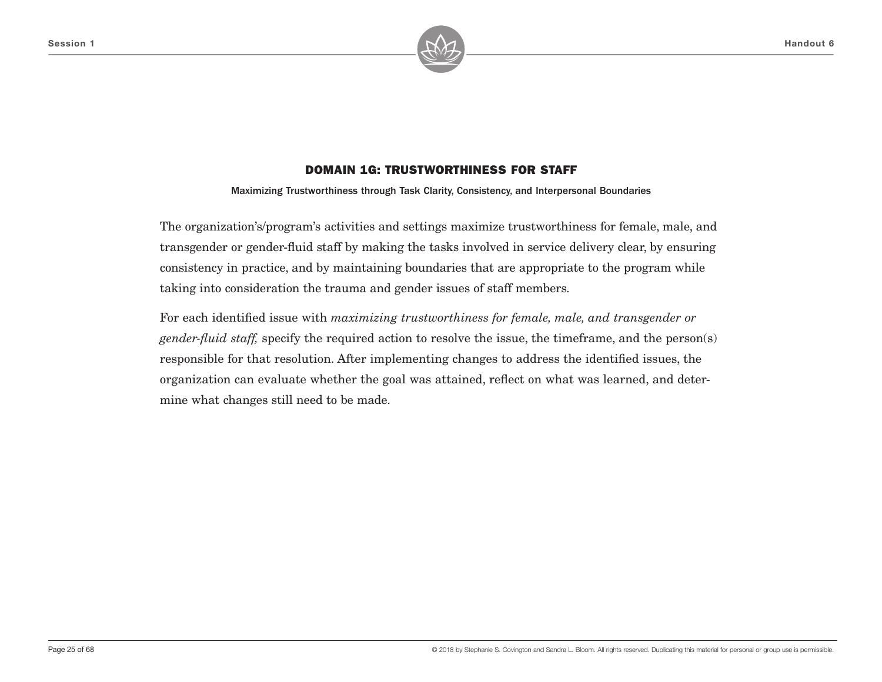

Maximizing Trustworthiness through Task Clarity, Consistency, and Interpersonal Boundaries

The organization's/program's activities and settings maximize trustworthiness for female, male, and transgender or gender-fluid staff by making the tasks involved in service delivery clear, by ensuring consistency in practice, and by maintaining boundaries that are appropriate to the program while taking into consideration the trauma and gender issues of staff members.

For each identified issue with *maximizing trustworthiness for female, male, and transgender or gender-fluid staff,* specify the required action to resolve the issue, the timeframe, and the person(s) responsible for that resolution. After implementing changes to address the identified issues, the organization can evaluate whether the goal was attained, reflect on what was learned, and determine what changes still need to be made.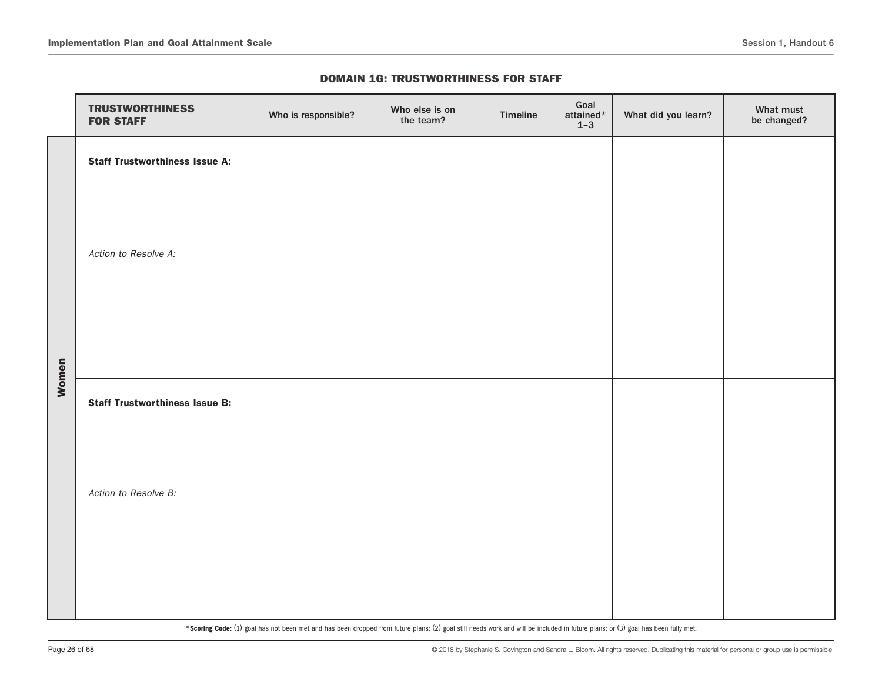|       | <b>TRUSTWORTHINESS</b><br><b>FOR STAFF</b> | Who is responsible? | Who else is on<br>the team? | Timeline | Goal<br>attained $\star$<br>$1 - 3$ | What did you learn? | What must<br>be changed? |
|-------|--------------------------------------------|---------------------|-----------------------------|----------|-------------------------------------|---------------------|--------------------------|
|       | <b>Staff Trustworthiness Issue A:</b>      |                     |                             |          |                                     |                     |                          |
|       | Action to Resolve A:                       |                     |                             |          |                                     |                     |                          |
| Women | <b>Staff Trustworthiness Issue B:</b>      |                     |                             |          |                                     |                     |                          |
|       | Action to Resolve B:                       |                     |                             |          |                                     |                     |                          |
|       |                                            |                     |                             |          |                                     |                     |                          |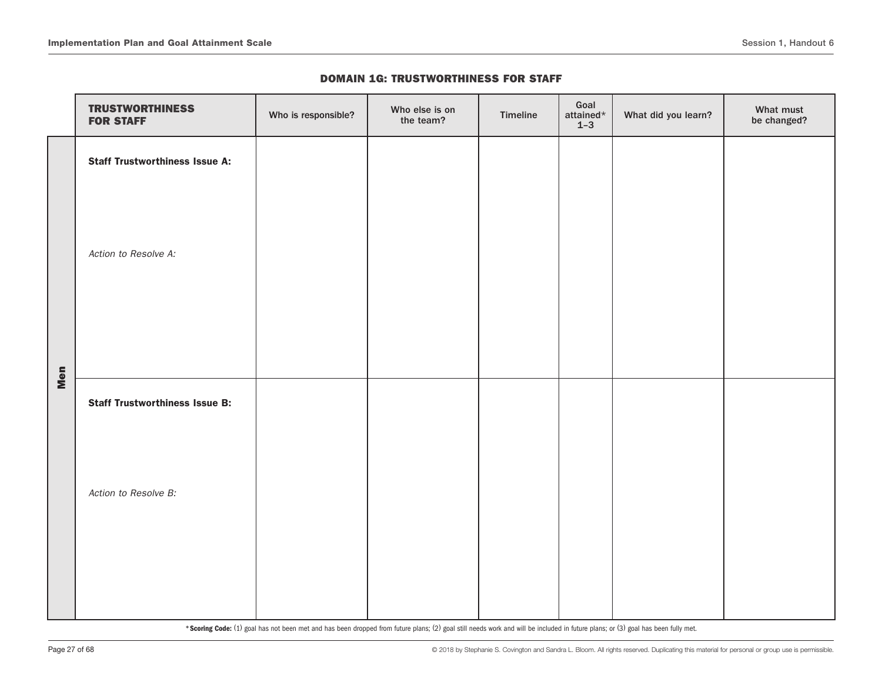|     | <b>TRUSTWORTHINESS</b><br><b>FOR STAFF</b> | Who is responsible? | Who else is on<br>the team? | Timeline | Goal<br>attained $\star$<br>$1-3$ | What did you learn? | What must<br>be changed? |
|-----|--------------------------------------------|---------------------|-----------------------------|----------|-----------------------------------|---------------------|--------------------------|
|     | <b>Staff Trustworthiness Issue A:</b>      |                     |                             |          |                                   |                     |                          |
|     | Action to Resolve A:                       |                     |                             |          |                                   |                     |                          |
| Men | <b>Staff Trustworthiness Issue B:</b>      |                     |                             |          |                                   |                     |                          |
|     | Action to Resolve B:                       |                     |                             |          |                                   |                     |                          |
|     |                                            |                     |                             |          |                                   |                     |                          |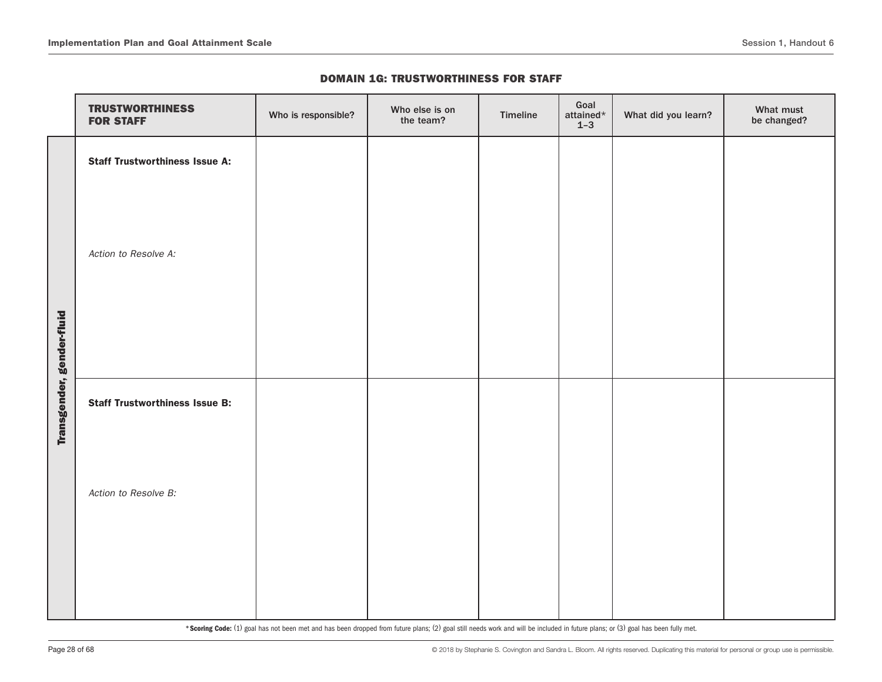|                           | <b>TRUSTWORTHINESS</b><br><b>FOR STAFF</b> | Who is responsible? | Who else is on<br>the team? | Timeline | Goal<br>attained*<br>$1 - 3$ | What did you learn? | What must<br>be changed? |
|---------------------------|--------------------------------------------|---------------------|-----------------------------|----------|------------------------------|---------------------|--------------------------|
|                           | <b>Staff Trustworthiness Issue A:</b>      |                     |                             |          |                              |                     |                          |
|                           | Action to Resolve A:                       |                     |                             |          |                              |                     |                          |
| Transgender, gender-fluid | <b>Staff Trustworthiness Issue B:</b>      |                     |                             |          |                              |                     |                          |
|                           | Action to Resolve B:                       |                     |                             |          |                              |                     |                          |
|                           |                                            |                     |                             |          |                              |                     |                          |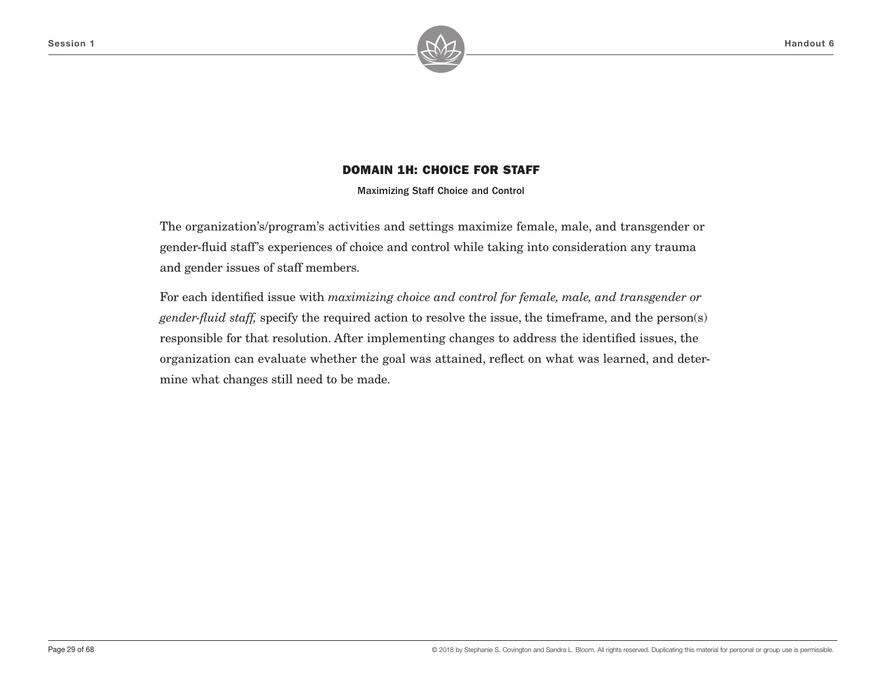

Maximizing Staff Choice and Control

The organization's/program's activities and settings maximize female, male, and transgender or gender-fluid staff's experiences of choice and control while taking into consideration any trauma and gender issues of staff members.

For each identified issue with *maximizing choice and control for female, male, and transgender or gender-fluid staff,* specify the required action to resolve the issue, the timeframe, and the person(s) responsible for that resolution. After implementing changes to address the identified issues, the organization can evaluate whether the goal was attained, reflect on what was learned, and determine what changes still need to be made.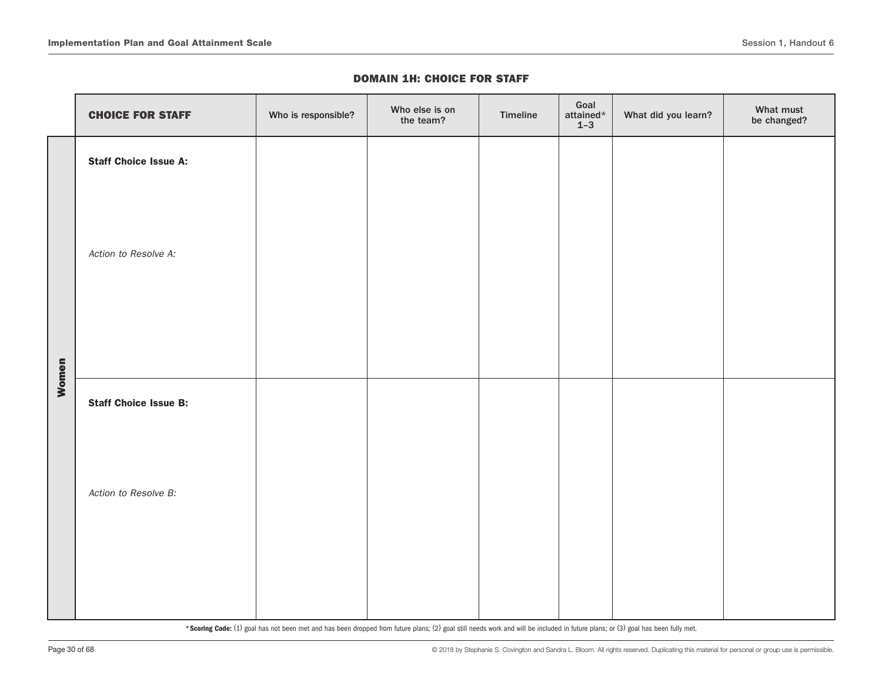|       | <b>CHOICE FOR STAFF</b>      | Who is responsible? | Who else is on<br>the team? | Timeline | Goal<br>attained*<br>$1 - 3$ | What did you learn? | What must<br>be changed? |
|-------|------------------------------|---------------------|-----------------------------|----------|------------------------------|---------------------|--------------------------|
|       | <b>Staff Choice Issue A:</b> |                     |                             |          |                              |                     |                          |
|       | Action to Resolve A:         |                     |                             |          |                              |                     |                          |
| Women | <b>Staff Choice Issue B:</b> |                     |                             |          |                              |                     |                          |
|       | Action to Resolve B:         |                     |                             |          |                              |                     |                          |
|       |                              |                     |                             |          |                              |                     |                          |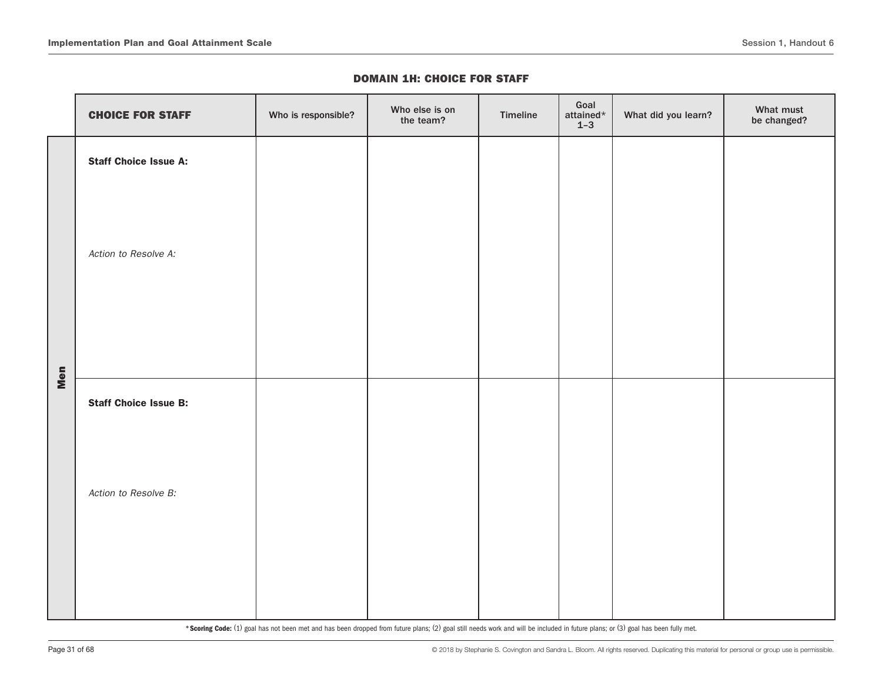|     | <b>CHOICE FOR STAFF</b>      | Who is responsible? | Who else is on<br>the team? | Timeline | Goal<br>attained*<br>$1-3$ | What did you learn? | What must<br>be changed? |
|-----|------------------------------|---------------------|-----------------------------|----------|----------------------------|---------------------|--------------------------|
|     | <b>Staff Choice Issue A:</b> |                     |                             |          |                            |                     |                          |
|     | Action to Resolve A:         |                     |                             |          |                            |                     |                          |
| Men | <b>Staff Choice Issue B:</b> |                     |                             |          |                            |                     |                          |
|     | Action to Resolve B:         |                     |                             |          |                            |                     |                          |
|     |                              |                     |                             |          |                            |                     |                          |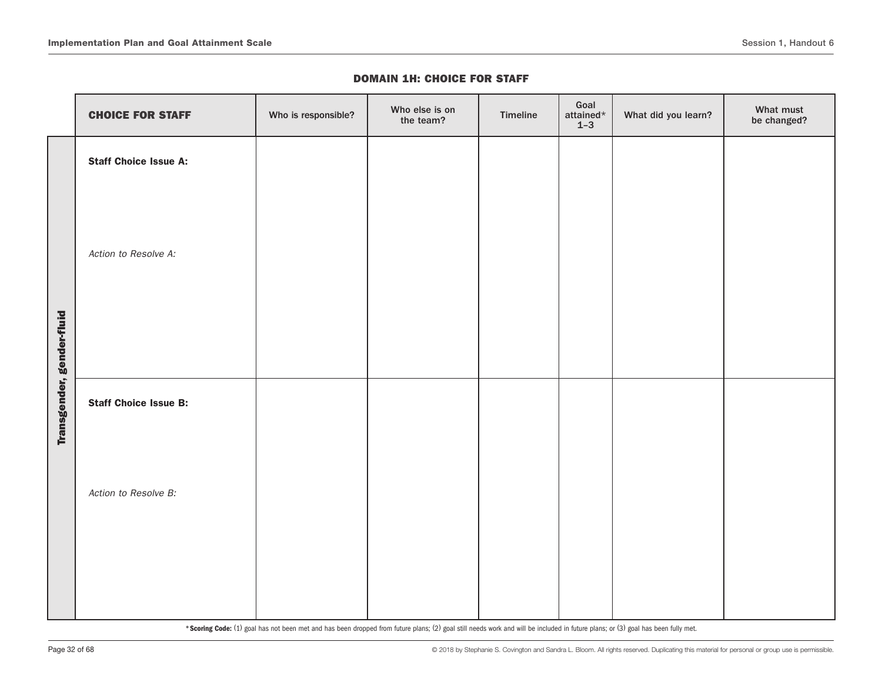|                           | <b>CHOICE FOR STAFF</b>      | Who is responsible? | Who else is on<br>the team? | Timeline | Goal<br>attained $\star$<br>$1 - 3$ | What did you learn? | What must<br>be changed? |
|---------------------------|------------------------------|---------------------|-----------------------------|----------|-------------------------------------|---------------------|--------------------------|
|                           | <b>Staff Choice Issue A:</b> |                     |                             |          |                                     |                     |                          |
|                           | Action to Resolve A:         |                     |                             |          |                                     |                     |                          |
| Transgender, gender-fluid | <b>Staff Choice Issue B:</b> |                     |                             |          |                                     |                     |                          |
|                           | Action to Resolve B:         |                     |                             |          |                                     |                     |                          |
|                           |                              |                     |                             |          |                                     |                     |                          |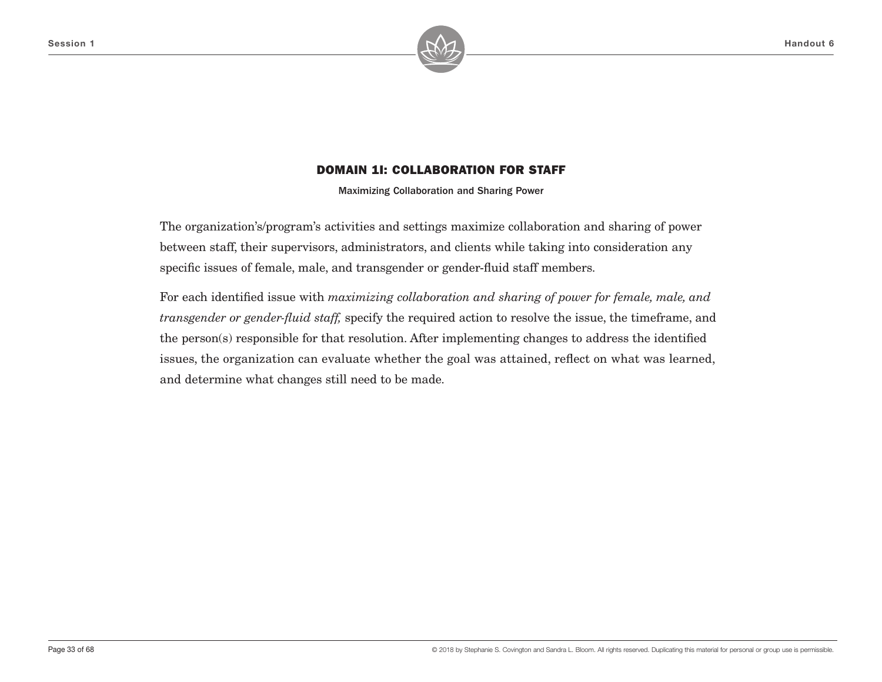

Maximizing Collaboration and Sharing Power

The organization's/program's activities and settings maximize collaboration and sharing of power between staff, their supervisors, administrators, and clients while taking into consideration any specific issues of female, male, and transgender or gender-fluid staff members.

For each identified issue with *maximizing collaboration and sharing of power for female, male, and transgender or gender-fluid staff,* specify the required action to resolve the issue, the timeframe, and the person(s) responsible for that resolution. After implementing changes to address the identified issues, the organization can evaluate whether the goal was attained, reflect on what was learned, and determine what changes still need to be made.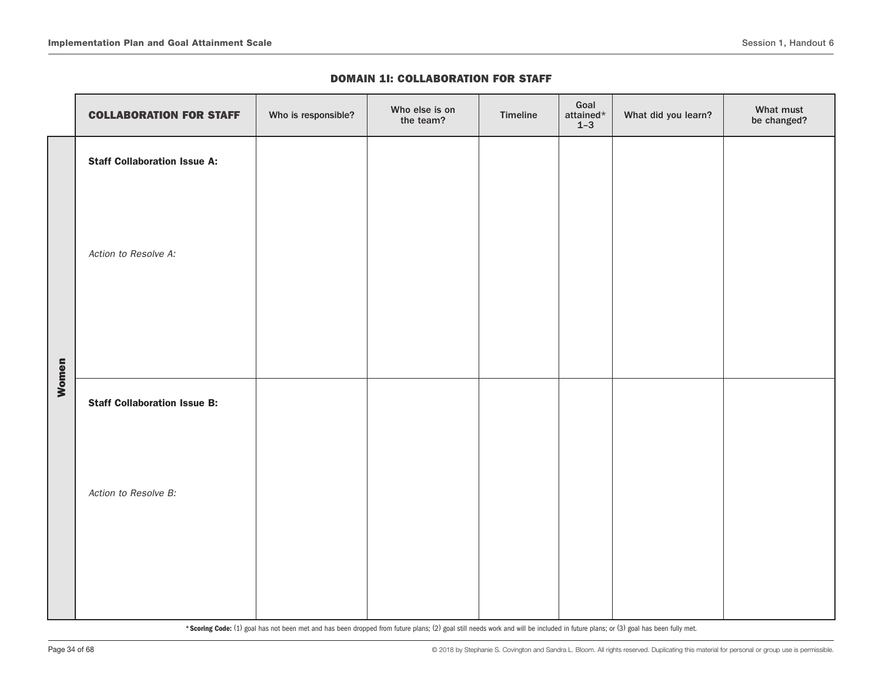|       | <b>COLLABORATION FOR STAFF</b>      | Who is responsible? | Who else is on<br>the team? | Timeline | Goal<br>attained*<br>$1 - 3$ | What did you learn? | What must<br>be changed? |
|-------|-------------------------------------|---------------------|-----------------------------|----------|------------------------------|---------------------|--------------------------|
|       | <b>Staff Collaboration Issue A:</b> |                     |                             |          |                              |                     |                          |
|       | Action to Resolve A:                |                     |                             |          |                              |                     |                          |
| Women | <b>Staff Collaboration Issue B:</b> |                     |                             |          |                              |                     |                          |
|       | Action to Resolve B:                |                     |                             |          |                              |                     |                          |
|       |                                     |                     |                             |          |                              |                     |                          |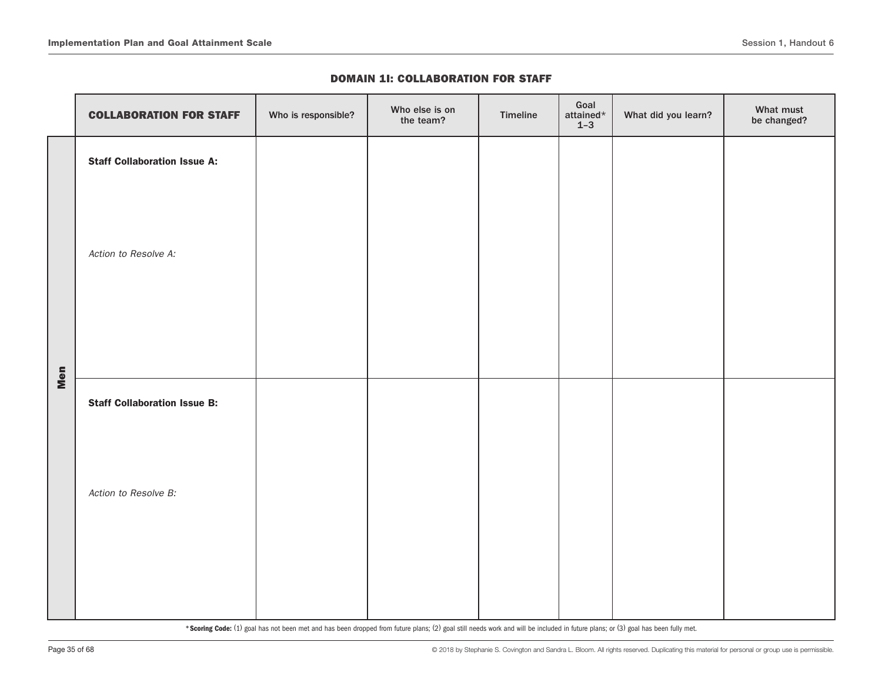|     | <b>COLLABORATION FOR STAFF</b>      | Who is responsible? | Who else is on<br>the team? | Timeline | Goal<br>attained $\star$<br>$1 - 3$ | What did you learn? | What must<br>be changed? |
|-----|-------------------------------------|---------------------|-----------------------------|----------|-------------------------------------|---------------------|--------------------------|
|     | <b>Staff Collaboration Issue A:</b> |                     |                             |          |                                     |                     |                          |
|     | Action to Resolve A:                |                     |                             |          |                                     |                     |                          |
| Men | <b>Staff Collaboration Issue B:</b> |                     |                             |          |                                     |                     |                          |
|     | Action to Resolve B:                |                     |                             |          |                                     |                     |                          |
|     |                                     |                     |                             |          |                                     |                     |                          |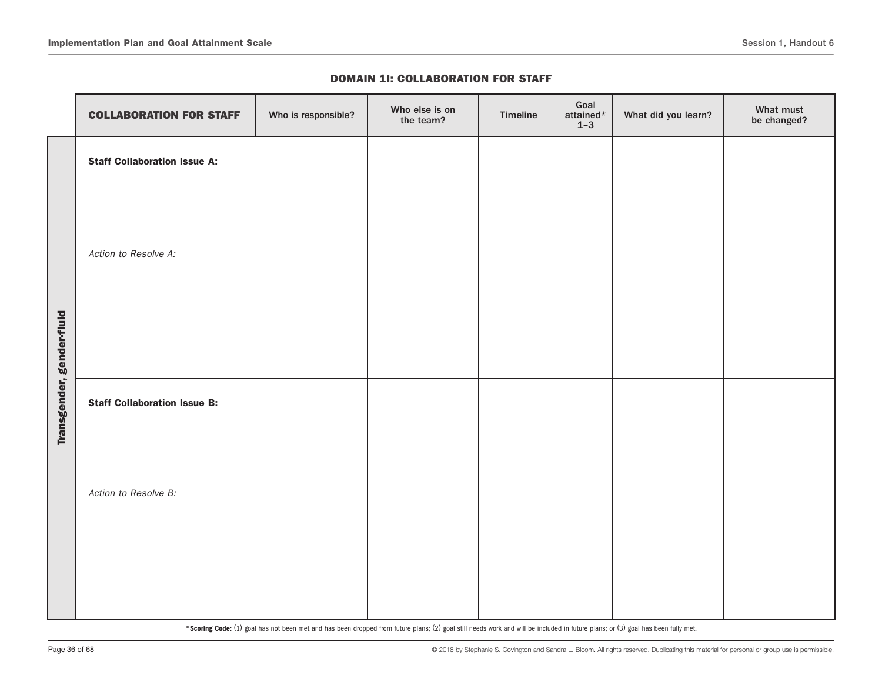|                           | <b>COLLABORATION FOR STAFF</b>      | Who is responsible? | Who else is on<br>the team? | Timeline | Goal<br>attained*<br>$1 - 3$ | What did you learn? | What must<br>be changed? |
|---------------------------|-------------------------------------|---------------------|-----------------------------|----------|------------------------------|---------------------|--------------------------|
|                           | <b>Staff Collaboration Issue A:</b> |                     |                             |          |                              |                     |                          |
|                           | Action to Resolve A:                |                     |                             |          |                              |                     |                          |
| Transgender, gender-fluid | <b>Staff Collaboration Issue B:</b> |                     |                             |          |                              |                     |                          |
|                           | Action to Resolve B:                |                     |                             |          |                              |                     |                          |
|                           |                                     |                     |                             |          |                              |                     |                          |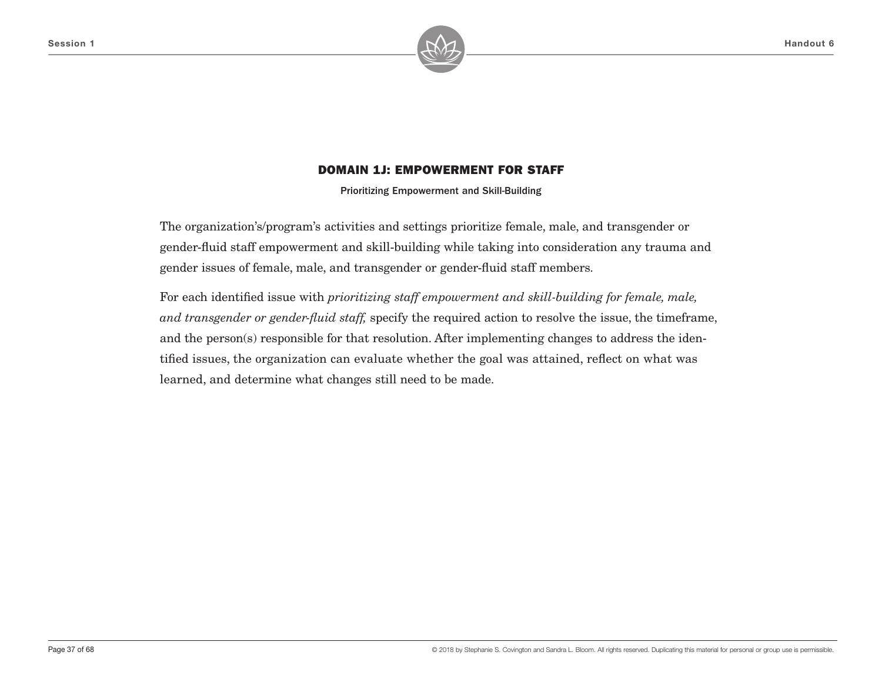

Prioritizing Empowerment and Skill-Building

The organization's/program's activities and settings prioritize female, male, and transgender or gender-fluid staff empowerment and skill-building while taking into consideration any trauma and gender issues of female, male, and transgender or gender-fluid staff members.

For each identified issue with *prioritizing staff empowerment and skill-building for female, male, and transgender or gender-fluid staff,* specify the required action to resolve the issue, the timeframe, and the person(s) responsible for that resolution. After implementing changes to address the identified issues, the organization can evaluate whether the goal was attained, reflect on what was learned, and determine what changes still need to be made.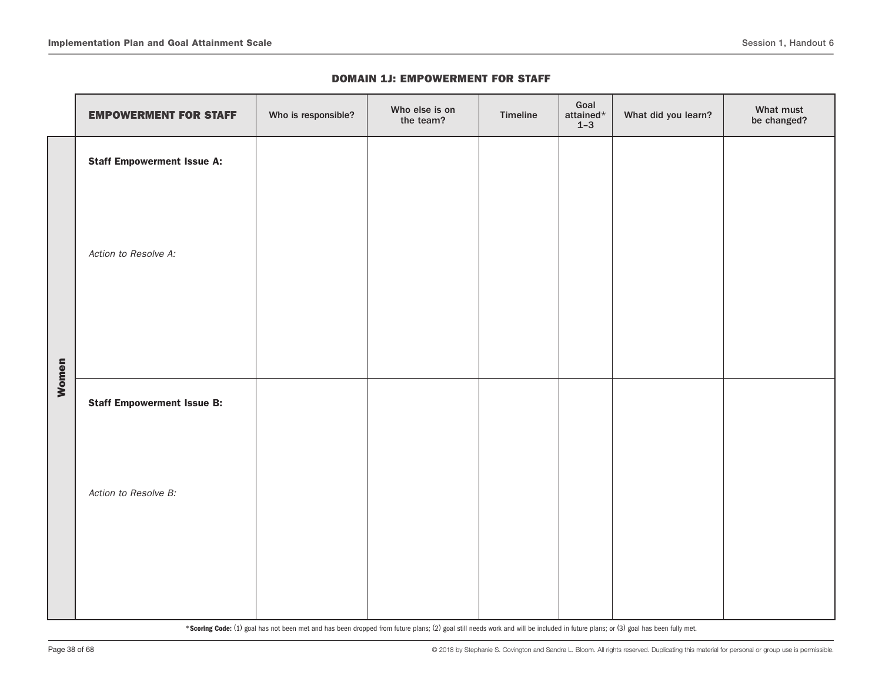|       | <b>EMPOWERMENT FOR STAFF</b>      | Who is responsible? | Who else is on<br>the team? | Timeline | Goal<br>attained $\star$<br>$1 - 3$ | What did you learn? | What must<br>be changed? |
|-------|-----------------------------------|---------------------|-----------------------------|----------|-------------------------------------|---------------------|--------------------------|
|       | <b>Staff Empowerment Issue A:</b> |                     |                             |          |                                     |                     |                          |
|       | Action to Resolve A:              |                     |                             |          |                                     |                     |                          |
| Women | <b>Staff Empowerment Issue B:</b> |                     |                             |          |                                     |                     |                          |
|       | Action to Resolve B:              |                     |                             |          |                                     |                     |                          |
|       |                                   |                     |                             |          |                                     |                     |                          |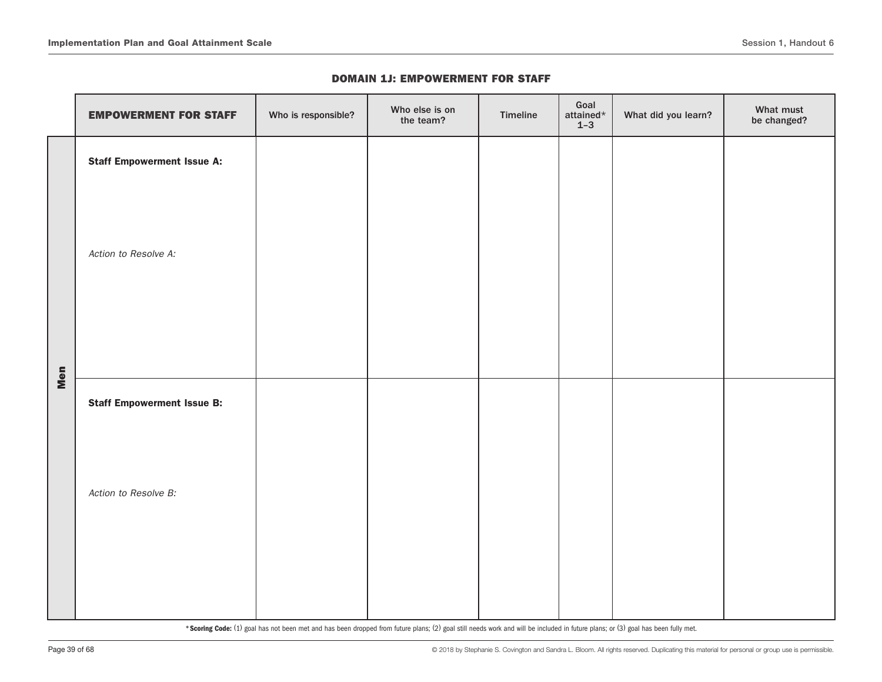|     | <b>EMPOWERMENT FOR STAFF</b>      | Who is responsible? | Who else is on<br>the team? | Timeline | Goal<br>attained $\star$<br>$1 - 3$ | What did you learn? | What must<br>be changed? |
|-----|-----------------------------------|---------------------|-----------------------------|----------|-------------------------------------|---------------------|--------------------------|
|     | <b>Staff Empowerment Issue A:</b> |                     |                             |          |                                     |                     |                          |
|     | Action to Resolve A:              |                     |                             |          |                                     |                     |                          |
| Men | <b>Staff Empowerment Issue B:</b> |                     |                             |          |                                     |                     |                          |
|     | Action to Resolve B:              |                     |                             |          |                                     |                     |                          |
|     |                                   |                     |                             |          |                                     |                     |                          |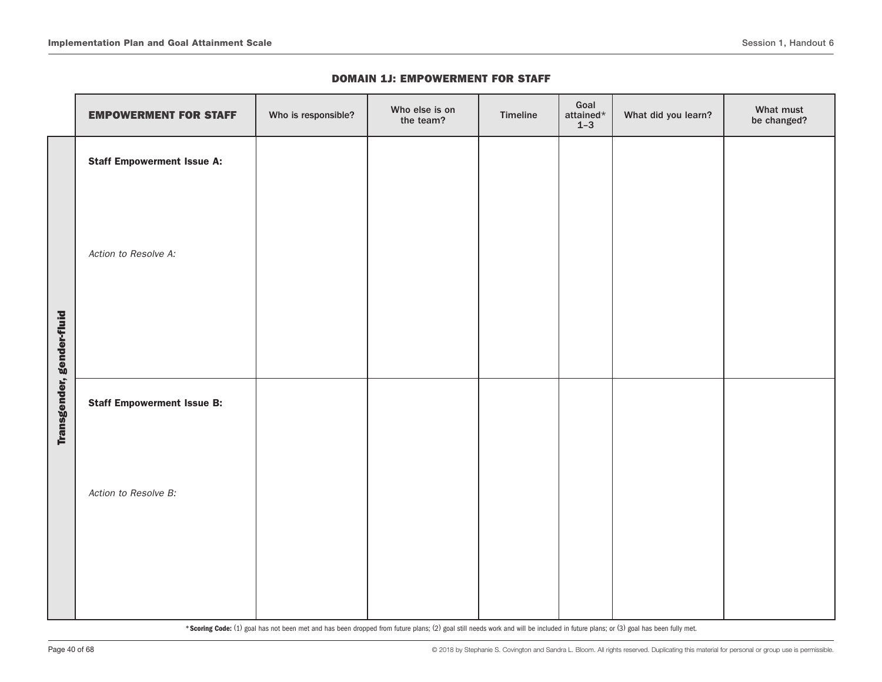|                           | <b>EMPOWERMENT FOR STAFF</b>      | Who is responsible? | Who else is on<br>the team? | Timeline | Goal<br>attained*<br>$1 - 3$ | What did you learn? | What must<br>be changed? |
|---------------------------|-----------------------------------|---------------------|-----------------------------|----------|------------------------------|---------------------|--------------------------|
|                           | <b>Staff Empowerment Issue A:</b> |                     |                             |          |                              |                     |                          |
|                           | Action to Resolve A:              |                     |                             |          |                              |                     |                          |
| Transgender, gender-fluid | <b>Staff Empowerment Issue B:</b> |                     |                             |          |                              |                     |                          |
|                           | Action to Resolve B:              |                     |                             |          |                              |                     |                          |
|                           |                                   |                     |                             |          |                              |                     |                          |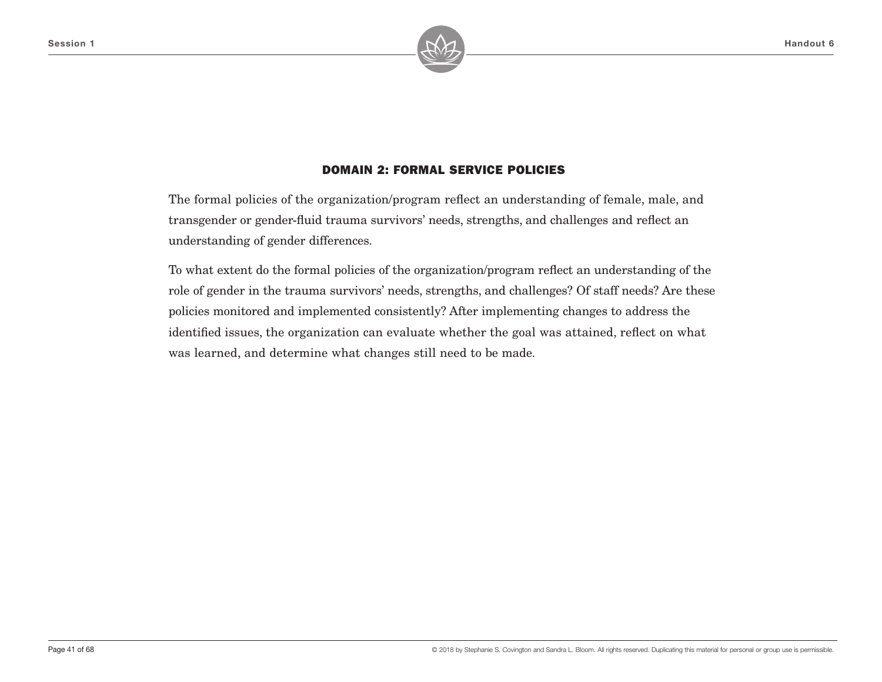

# DOMAIN 2: FORMAL SERVICE POLICIES

The formal policies of the organization/program reflect an understanding of female, male, and transgender or gender-fluid trauma survivors' needs, strengths, and challenges and reflect an understanding of gender differences.

To what extent do the formal policies of the organization/program reflect an understanding of the role of gender in the trauma survivors' needs, strengths, and challenges? Of staff needs? Are these policies monitored and implemented consistently? After implementing changes to address the identified issues, the organization can evaluate whether the goal was attained, reflect on what was learned, and determine what changes still need to be made.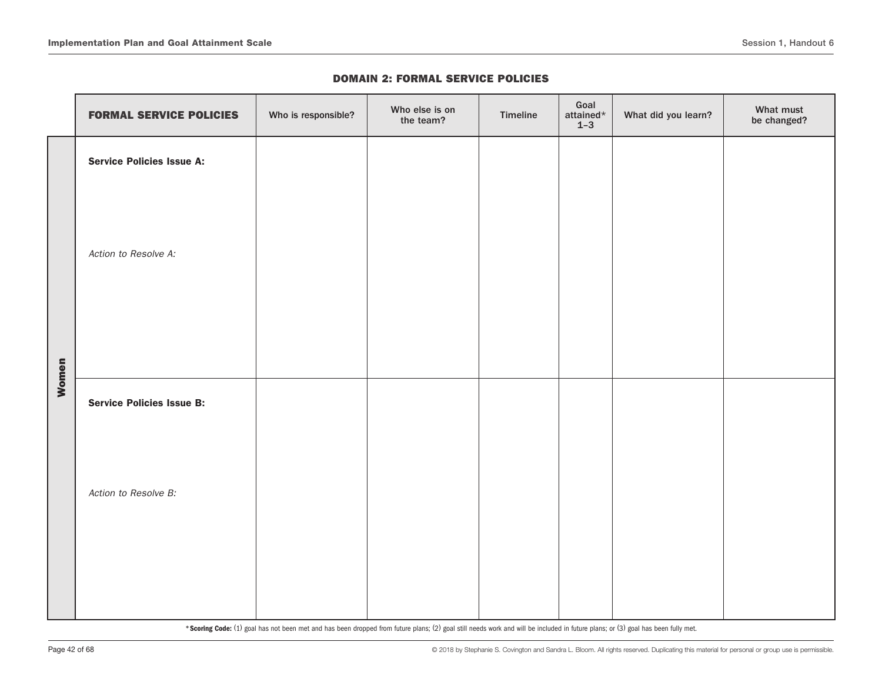#### DOMAIN 2: FORMAL SERVICE POLICIES

|       | <b>FORMAL SERVICE POLICIES</b>   | Who is responsible? | Who else is on<br>the team? | Timeline | Goal<br>attained $\star$<br>$1 - 3$ | What did you learn? | What must<br>be changed? |
|-------|----------------------------------|---------------------|-----------------------------|----------|-------------------------------------|---------------------|--------------------------|
|       | <b>Service Policies Issue A:</b> |                     |                             |          |                                     |                     |                          |
|       | Action to Resolve A:             |                     |                             |          |                                     |                     |                          |
| Women | <b>Service Policies Issue B:</b> |                     |                             |          |                                     |                     |                          |
|       | Action to Resolve B:             |                     |                             |          |                                     |                     |                          |
|       |                                  |                     |                             |          |                                     |                     |                          |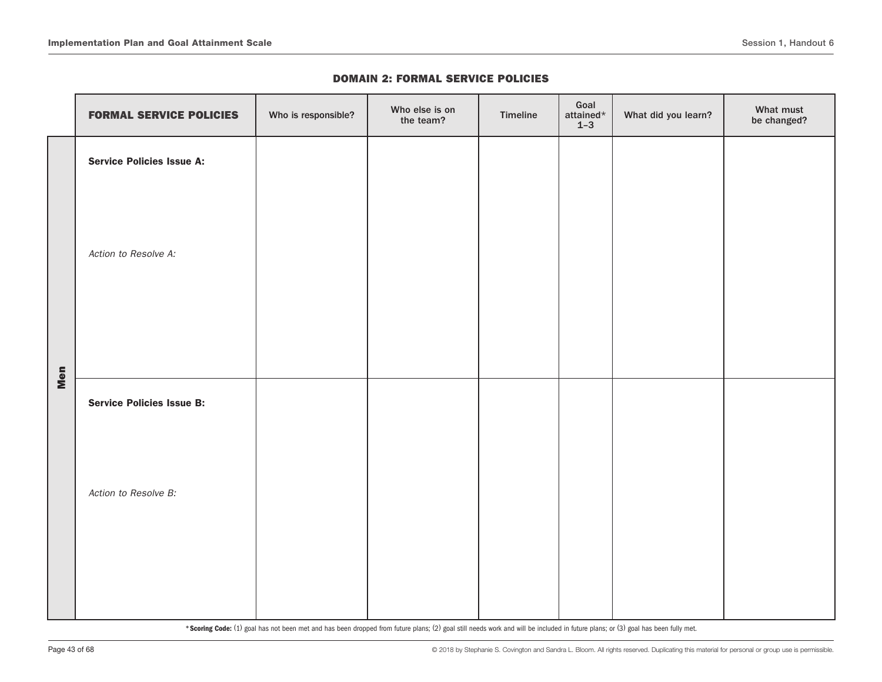#### DOMAIN 2: FORMAL SERVICE POLICIES

|     | <b>FORMAL SERVICE POLICIES</b>   | Who is responsible? | Who else is on<br>the team? | Timeline | Goal<br>attained $\star$<br>$1 - 3$ | What did you learn? | What must<br>be changed? |
|-----|----------------------------------|---------------------|-----------------------------|----------|-------------------------------------|---------------------|--------------------------|
|     | <b>Service Policies Issue A:</b> |                     |                             |          |                                     |                     |                          |
|     | Action to Resolve A:             |                     |                             |          |                                     |                     |                          |
| Men | <b>Service Policies Issue B:</b> |                     |                             |          |                                     |                     |                          |
|     | Action to Resolve B:             |                     |                             |          |                                     |                     |                          |
|     |                                  |                     |                             |          |                                     |                     |                          |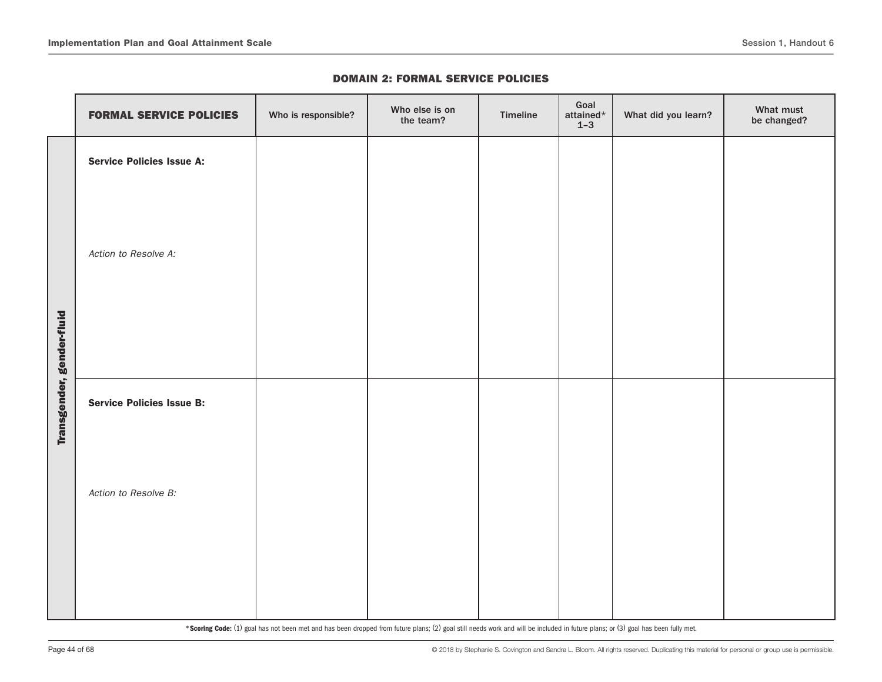|  |  |  |  | <b>DOMAIN 2: FORMAL SERVICE POLICIES</b> |
|--|--|--|--|------------------------------------------|
|--|--|--|--|------------------------------------------|

|                           | <b>FORMAL SERVICE POLICIES</b>   | Who is responsible? | Who else is on<br>the team? | Timeline | Goal<br>attained $*$<br>$1 - 3$ | What did you learn? | What must<br>be changed? |
|---------------------------|----------------------------------|---------------------|-----------------------------|----------|---------------------------------|---------------------|--------------------------|
|                           | <b>Service Policies Issue A:</b> |                     |                             |          |                                 |                     |                          |
|                           | Action to Resolve A:             |                     |                             |          |                                 |                     |                          |
| Transgender, gender-fluid | <b>Service Policies Issue B:</b> |                     |                             |          |                                 |                     |                          |
|                           | Action to Resolve B:             |                     |                             |          |                                 |                     |                          |
|                           |                                  |                     |                             |          |                                 |                     |                          |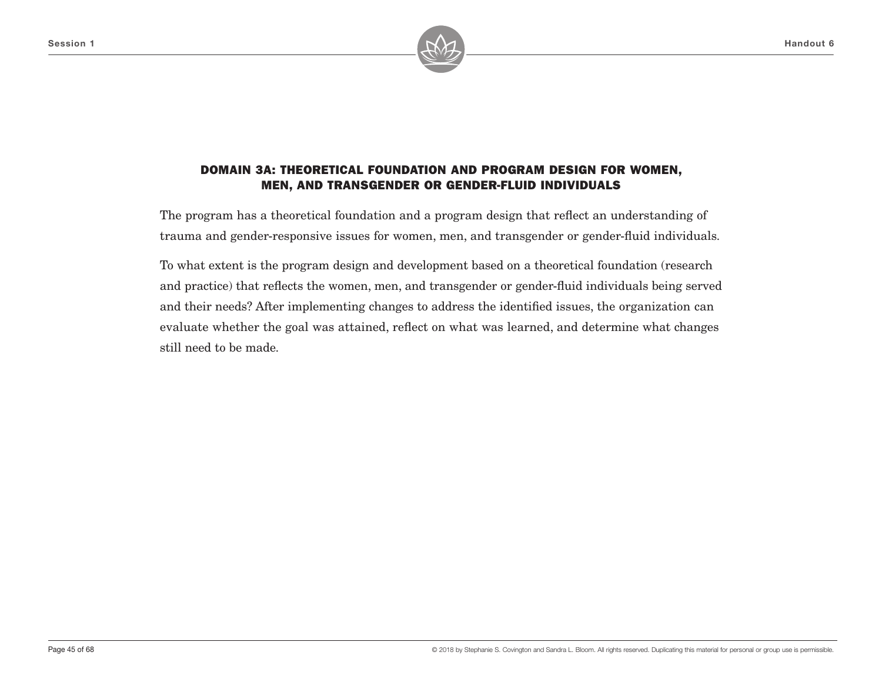

# DOMAIN 3A: THEORETICAL FOUNDATION AND PROGRAM DESIGN FOR WOMEN, MEN, AND TRANSGENDER OR GENDER-FLUID INDIVIDUALS

The program has a theoretical foundation and a program design that reflect an understanding of trauma and gender-responsive issues for women, men, and transgender or gender-fluid individuals.

To what extent is the program design and development based on a theoretical foundation (research and practice) that reflects the women, men, and transgender or gender-fluid individuals being served and their needs? After implementing changes to address the identified issues, the organization can evaluate whether the goal was attained, reflect on what was learned, and determine what changes still need to be made.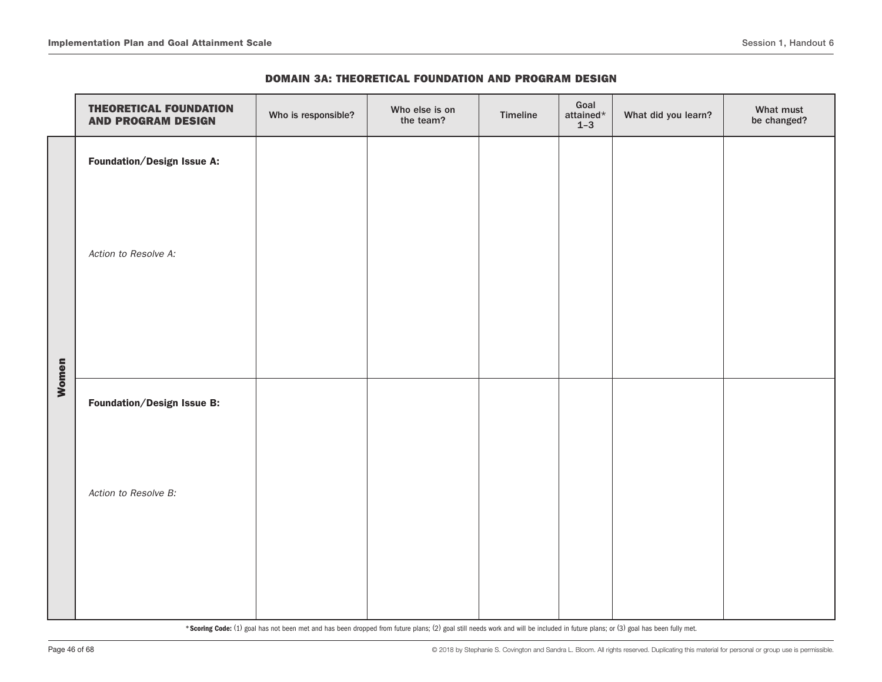|       | <b>THEORETICAL FOUNDATION</b><br><b>AND PROGRAM DESIGN</b> | Who is responsible? | Who else is on<br>the team? | Timeline | Goal<br>attained $\star$<br>$1-3$ | What did you learn? | What must<br>be changed? |
|-------|------------------------------------------------------------|---------------------|-----------------------------|----------|-----------------------------------|---------------------|--------------------------|
|       | Foundation/Design Issue A:                                 |                     |                             |          |                                   |                     |                          |
|       | Action to Resolve A:                                       |                     |                             |          |                                   |                     |                          |
| Women | Foundation/Design Issue B:                                 |                     |                             |          |                                   |                     |                          |
|       |                                                            |                     |                             |          |                                   |                     |                          |
|       | Action to Resolve B:                                       |                     |                             |          |                                   |                     |                          |
|       |                                                            |                     |                             |          |                                   |                     |                          |
|       |                                                            |                     |                             |          |                                   |                     |                          |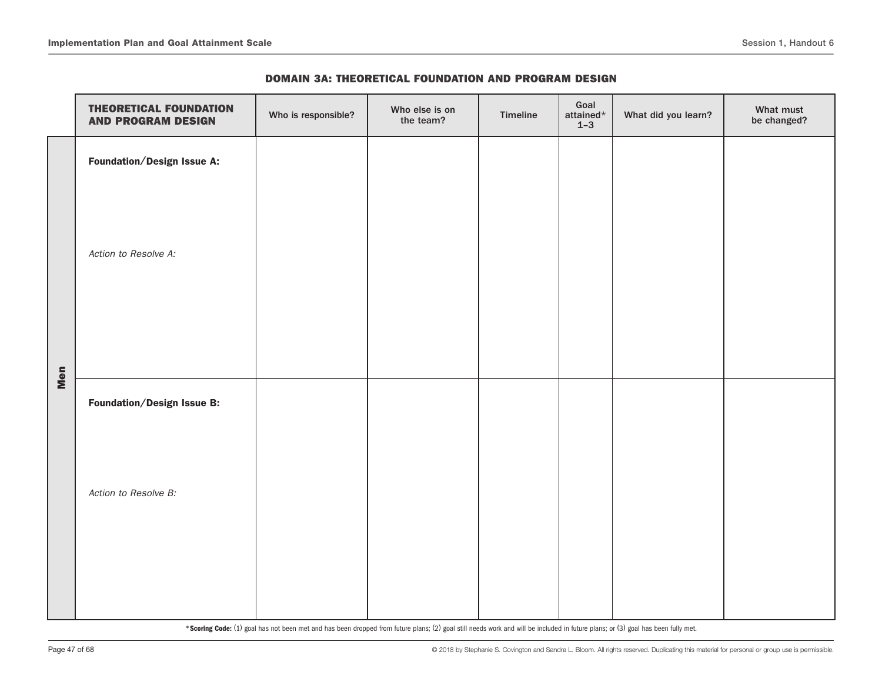| <b>DOMAIN 3A: THEORETICAL FOUNDATION AND PROGRAM DESIGN</b> |  |  |  |
|-------------------------------------------------------------|--|--|--|
|-------------------------------------------------------------|--|--|--|

|     | <b>THEORETICAL FOUNDATION</b><br><b>AND PROGRAM DESIGN</b> | Who is responsible? | Who else is on<br>the team? | Timeline | Goal<br>attained $\star$<br>$1-3$ | What did you learn? | What must<br>be changed? |
|-----|------------------------------------------------------------|---------------------|-----------------------------|----------|-----------------------------------|---------------------|--------------------------|
|     | <b>Foundation/Design Issue A:</b>                          |                     |                             |          |                                   |                     |                          |
|     | Action to Resolve A:                                       |                     |                             |          |                                   |                     |                          |
| Men | Foundation/Design Issue B:                                 |                     |                             |          |                                   |                     |                          |
|     | Action to Resolve B:                                       |                     |                             |          |                                   |                     |                          |
|     |                                                            |                     |                             |          |                                   |                     |                          |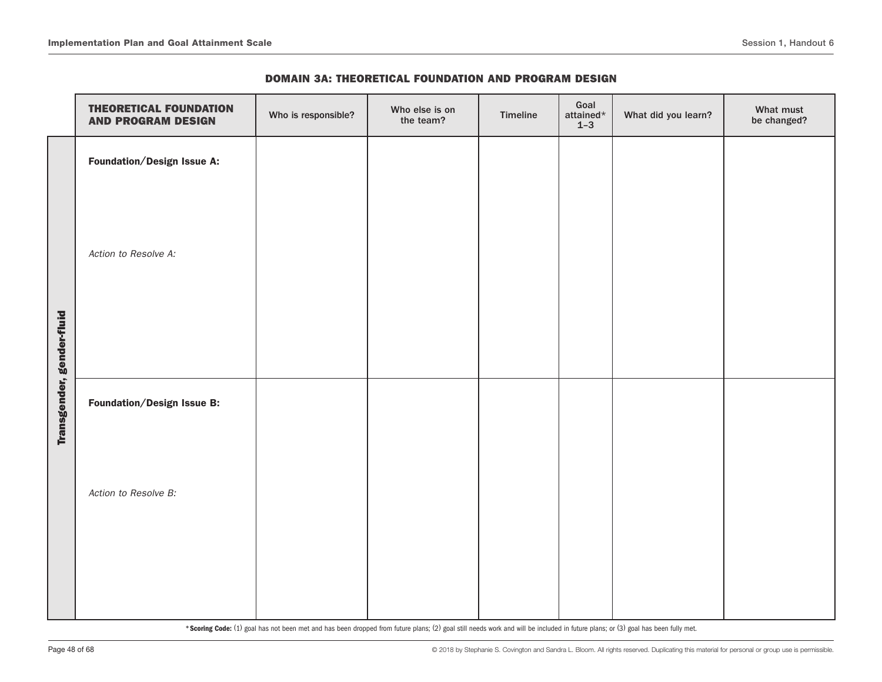|                           | <b>THEORETICAL FOUNDATION</b><br><b>AND PROGRAM DESIGN</b> | Who is responsible? | Who else is on<br>the team? | Timeline | Goal<br>attained*<br>$1-3$ | What did you learn? | What must<br>be changed? |
|---------------------------|------------------------------------------------------------|---------------------|-----------------------------|----------|----------------------------|---------------------|--------------------------|
|                           | Foundation/Design Issue A:                                 |                     |                             |          |                            |                     |                          |
|                           | Action to Resolve A:                                       |                     |                             |          |                            |                     |                          |
| Transgender, gender-fluid | Foundation/Design Issue B:                                 |                     |                             |          |                            |                     |                          |
|                           | Action to Resolve B:                                       |                     |                             |          |                            |                     |                          |
|                           |                                                            |                     |                             |          |                            |                     |                          |

#### DOMAIN 3A: THEORETICAL FOUNDATION AND PROGRAM DESIGN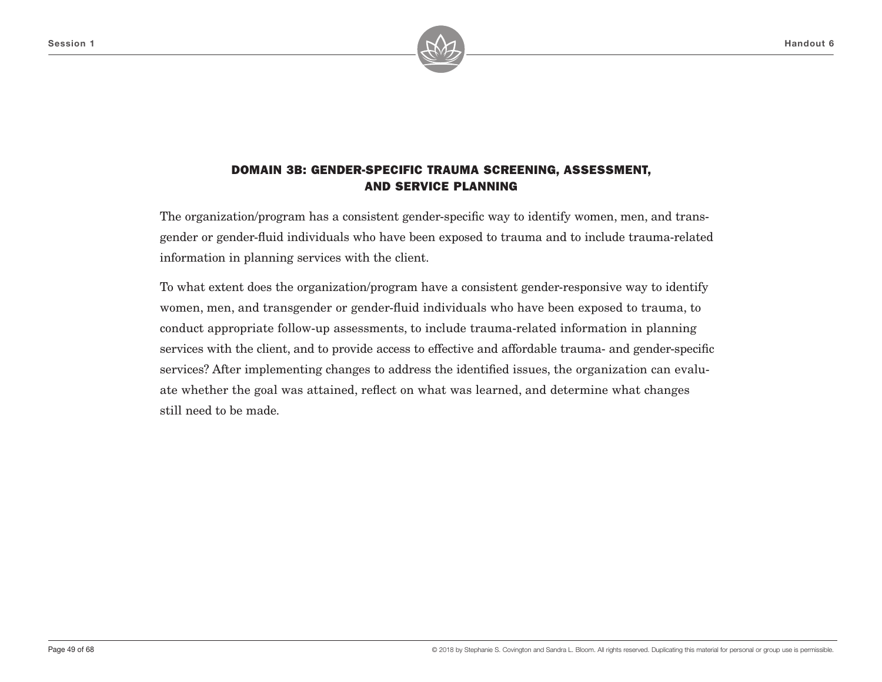

The organization/program has a consistent gender-specific way to identify women, men, and transgender or gender-fluid individuals who have been exposed to trauma and to include trauma-related information in planning services with the client.

To what extent does the organization/program have a consistent gender-responsive way to identify women, men, and transgender or gender-fluid individuals who have been exposed to trauma, to conduct appropriate follow-up assessments, to include trauma-related information in planning services with the client, and to provide access to effective and affordable trauma- and gender-specific services? After implementing changes to address the identified issues, the organization can evaluate whether the goal was attained, reflect on what was learned, and determine what changes still need to be made.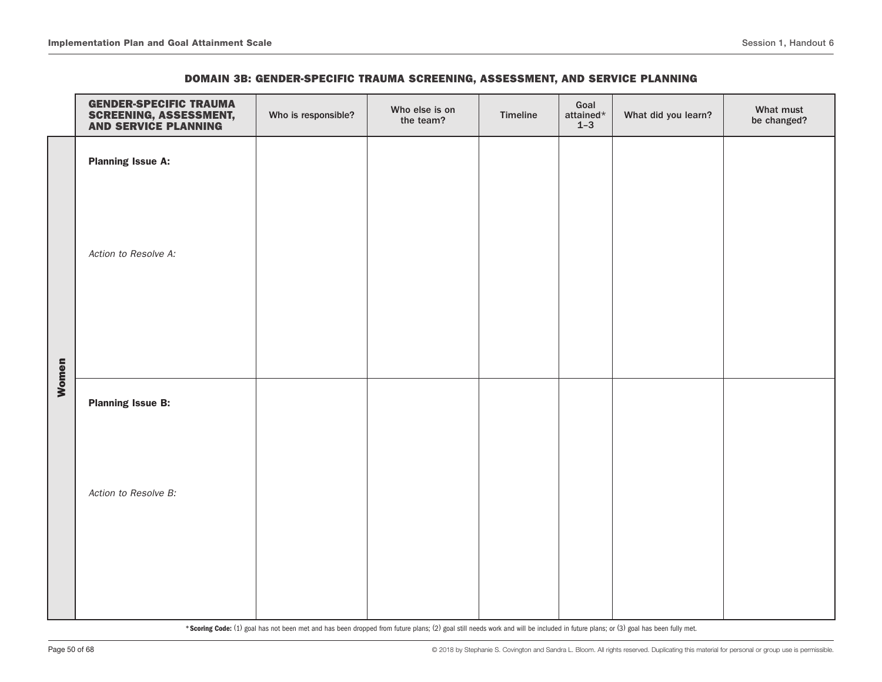|       | <b>GENDER-SPECIFIC TRAUMA</b><br><b>SCREENING, ASSESSMENT,<br/>AND SERVICE PLANNING</b> | Who is responsible? | Who else is on<br>the team? | Timeline | Goal<br>attained $\star$<br>$1-3$ | What did you learn? | What must<br>be changed? |
|-------|-----------------------------------------------------------------------------------------|---------------------|-----------------------------|----------|-----------------------------------|---------------------|--------------------------|
|       | <b>Planning Issue A:</b>                                                                |                     |                             |          |                                   |                     |                          |
|       |                                                                                         |                     |                             |          |                                   |                     |                          |
|       | Action to Resolve A:                                                                    |                     |                             |          |                                   |                     |                          |
|       |                                                                                         |                     |                             |          |                                   |                     |                          |
|       |                                                                                         |                     |                             |          |                                   |                     |                          |
| Women |                                                                                         |                     |                             |          |                                   |                     |                          |
|       | <b>Planning Issue B:</b>                                                                |                     |                             |          |                                   |                     |                          |
|       |                                                                                         |                     |                             |          |                                   |                     |                          |
|       | Action to Resolve B:                                                                    |                     |                             |          |                                   |                     |                          |
|       |                                                                                         |                     |                             |          |                                   |                     |                          |
|       |                                                                                         |                     |                             |          |                                   |                     |                          |
|       |                                                                                         |                     |                             |          |                                   |                     |                          |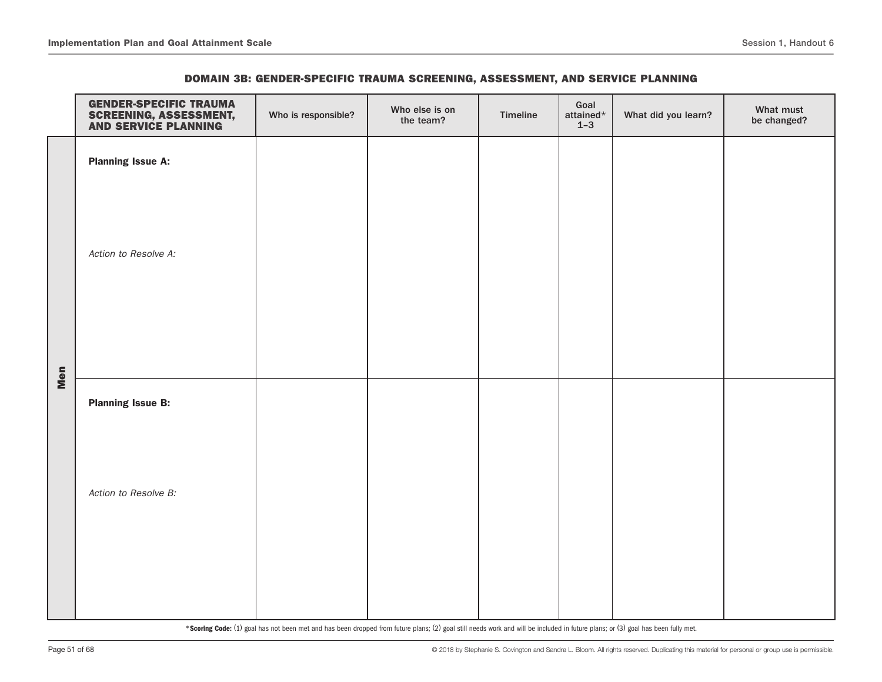|     | <b>GENDER-SPECIFIC TRAUMA</b><br><b>SCREENING, ASSESSMENT,<br/>AND SERVICE PLANNING</b> | Who is responsible? | Who else is on<br>the team? | Timeline | Goal<br>attained*<br>$1-3$ | What did you learn? | What must<br>be changed? |
|-----|-----------------------------------------------------------------------------------------|---------------------|-----------------------------|----------|----------------------------|---------------------|--------------------------|
|     | <b>Planning Issue A:</b>                                                                |                     |                             |          |                            |                     |                          |
|     |                                                                                         |                     |                             |          |                            |                     |                          |
|     | Action to Resolve A:                                                                    |                     |                             |          |                            |                     |                          |
|     |                                                                                         |                     |                             |          |                            |                     |                          |
| Men |                                                                                         |                     |                             |          |                            |                     |                          |
|     | <b>Planning Issue B:</b>                                                                |                     |                             |          |                            |                     |                          |
|     |                                                                                         |                     |                             |          |                            |                     |                          |
|     | Action to Resolve B:                                                                    |                     |                             |          |                            |                     |                          |
|     |                                                                                         |                     |                             |          |                            |                     |                          |
|     |                                                                                         |                     |                             |          |                            |                     |                          |
|     |                                                                                         |                     |                             |          |                            |                     |                          |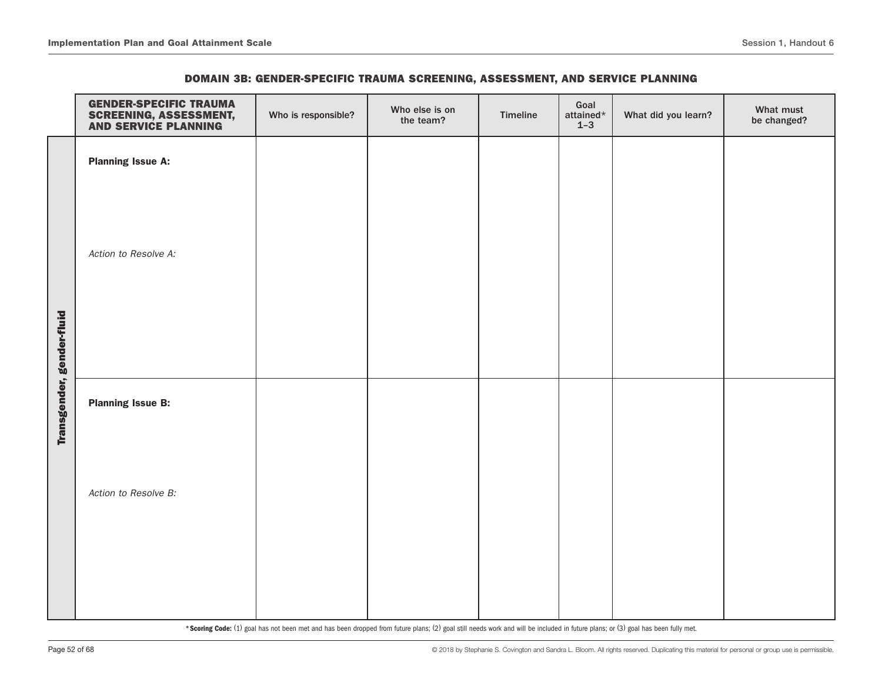|                           | <b>GENDER-SPECIFIC TRAUMA</b><br><b>SCREENING, ASSESSMENT,<br/>AND SERVICE PLANNING</b> | Who is responsible? | Who else is on<br>the team? | Timeline | Goal<br>attained*<br>$1 - 3$ | What did you learn? | What must<br>be changed? |
|---------------------------|-----------------------------------------------------------------------------------------|---------------------|-----------------------------|----------|------------------------------|---------------------|--------------------------|
|                           | <b>Planning Issue A:</b>                                                                |                     |                             |          |                              |                     |                          |
|                           |                                                                                         |                     |                             |          |                              |                     |                          |
|                           | Action to Resolve A:                                                                    |                     |                             |          |                              |                     |                          |
|                           |                                                                                         |                     |                             |          |                              |                     |                          |
|                           |                                                                                         |                     |                             |          |                              |                     |                          |
| Transgender, gender-fluid | <b>Planning Issue B:</b>                                                                |                     |                             |          |                              |                     |                          |
|                           |                                                                                         |                     |                             |          |                              |                     |                          |
|                           | Action to Resolve B:                                                                    |                     |                             |          |                              |                     |                          |
|                           |                                                                                         |                     |                             |          |                              |                     |                          |
|                           |                                                                                         |                     |                             |          |                              |                     |                          |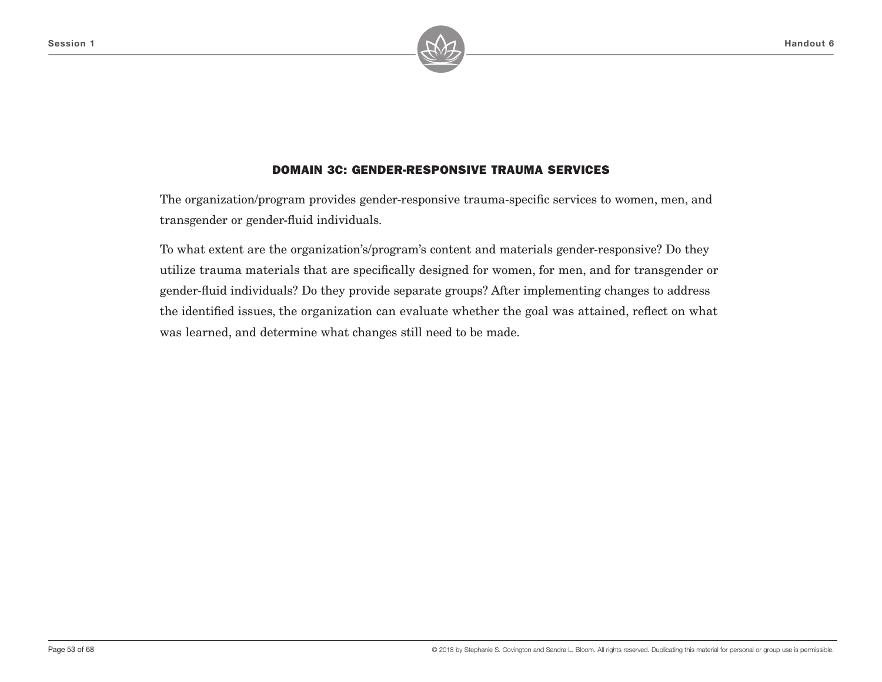

### DOMAIN 3C: GENDER-RESPONSIVE TRAUMA SERVICES

The organization/program provides gender-responsive trauma-specific services to women, men, and transgender or gender-fluid individuals.

To what extent are the organization's/program's content and materials gender-responsive? Do they utilize trauma materials that are specifically designed for women, for men, and for transgender or gender-fluid individuals? Do they provide separate groups? After implementing changes to address the identified issues, the organization can evaluate whether the goal was attained, reflect on what was learned, and determine what changes still need to be made.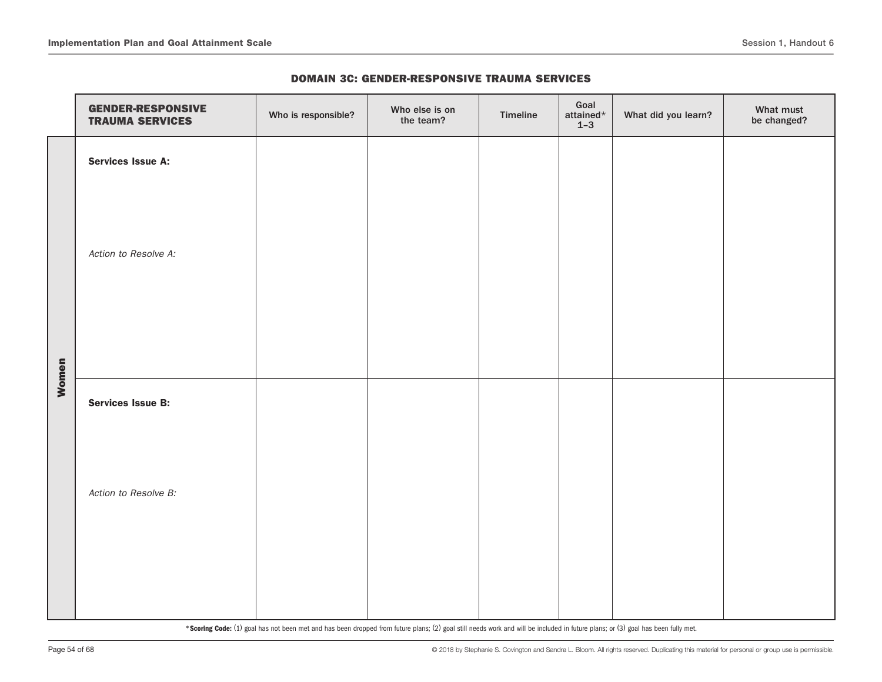|  | <b>DOMAIN 3C: GENDER-RESPONSIVE TRAUMA SERVICES</b> |  |  |  |
|--|-----------------------------------------------------|--|--|--|
|--|-----------------------------------------------------|--|--|--|

|       | <b>GENDER-RESPONSIVE</b><br><b>TRAUMA SERVICES</b> | Who is responsible? | Who else is on<br>the team? | Timeline | Goal<br>attained*<br>$1 - 3$ | What did you learn? | What must<br>be changed? |
|-------|----------------------------------------------------|---------------------|-----------------------------|----------|------------------------------|---------------------|--------------------------|
|       | <b>Services Issue A:</b>                           |                     |                             |          |                              |                     |                          |
|       | Action to Resolve A:                               |                     |                             |          |                              |                     |                          |
| Women | <b>Services Issue B:</b>                           |                     |                             |          |                              |                     |                          |
|       | Action to Resolve B:                               |                     |                             |          |                              |                     |                          |
|       |                                                    |                     |                             |          |                              |                     |                          |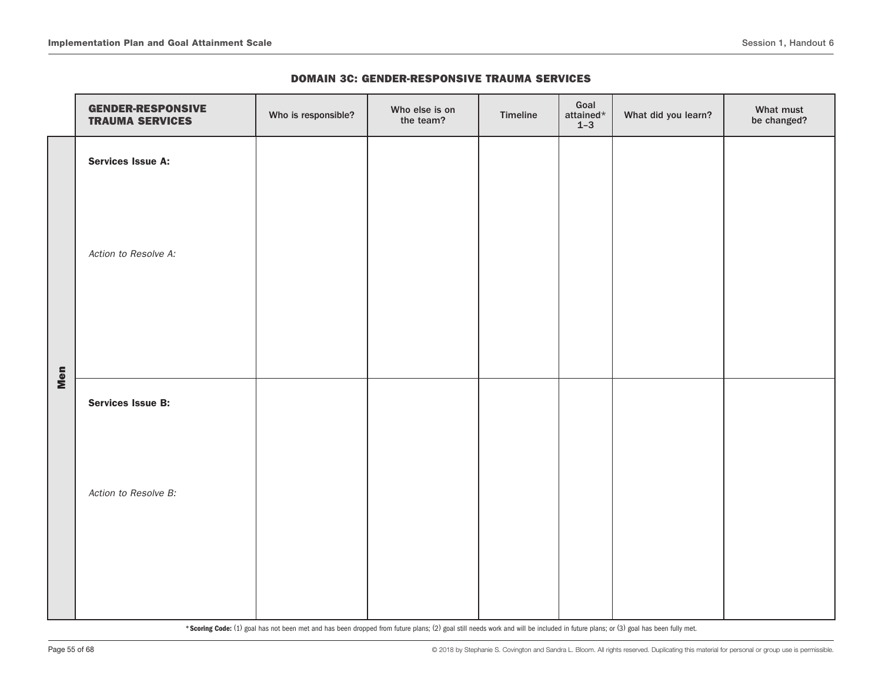|  | <b>DOMAIN 3C: GENDER-RESPONSIVE TRAUMA SERVICES</b> |  |  |  |
|--|-----------------------------------------------------|--|--|--|
|--|-----------------------------------------------------|--|--|--|

|     | <b>GENDER-RESPONSIVE</b><br><b>TRAUMA SERVICES</b> | Who is responsible? | Who else is on<br>the team? | Timeline | Goal<br>attained*<br>$1-3$ | What did you learn? | What must<br>be changed? |
|-----|----------------------------------------------------|---------------------|-----------------------------|----------|----------------------------|---------------------|--------------------------|
|     | Services Issue A:                                  |                     |                             |          |                            |                     |                          |
|     | Action to Resolve A:                               |                     |                             |          |                            |                     |                          |
| Men | <b>Services Issue B:</b>                           |                     |                             |          |                            |                     |                          |
|     | Action to Resolve B:                               |                     |                             |          |                            |                     |                          |
|     |                                                    |                     |                             |          |                            |                     |                          |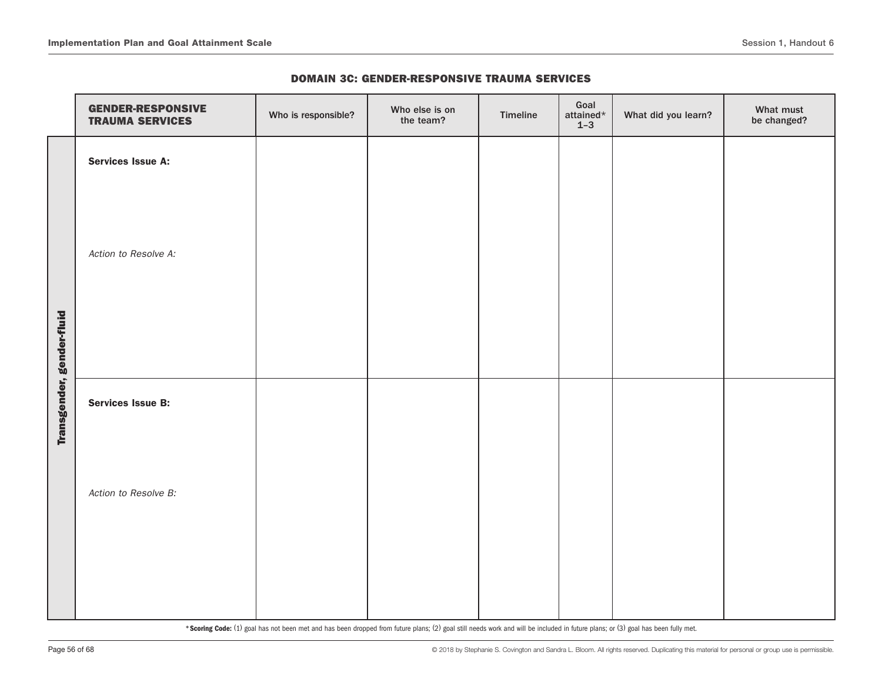|                           | <b>GENDER-RESPONSIVE</b><br><b>TRAUMA SERVICES</b> | Who is responsible? | Who else is on<br>the team? | Timeline | Goal<br>attained*<br>$1 - 3$ | What did you learn? | What must<br>be changed? |
|---------------------------|----------------------------------------------------|---------------------|-----------------------------|----------|------------------------------|---------------------|--------------------------|
|                           | Services Issue A:                                  |                     |                             |          |                              |                     |                          |
|                           | Action to Resolve A:                               |                     |                             |          |                              |                     |                          |
|                           |                                                    |                     |                             |          |                              |                     |                          |
| Transgender, gender-fluid | <b>Services Issue B:</b>                           |                     |                             |          |                              |                     |                          |
|                           | Action to Resolve B:                               |                     |                             |          |                              |                     |                          |
|                           |                                                    |                     |                             |          |                              |                     |                          |

#### DOMAIN 3C: GENDER-RESPONSIVE TRAUMA SERVICES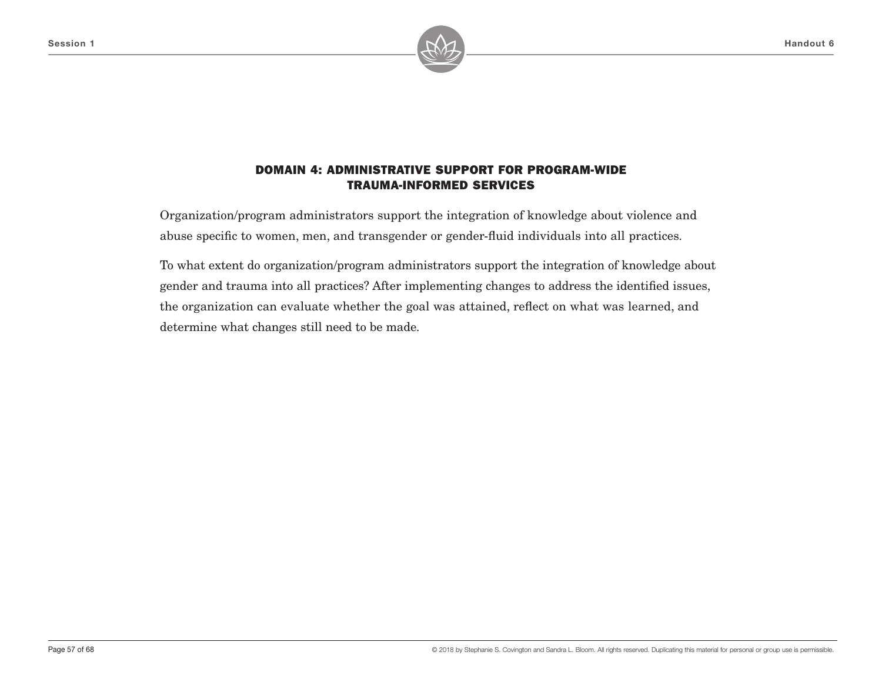

Organization/program administrators support the integration of knowledge about violence and abuse specific to women, men, and transgender or gender-fluid individuals into all practices.

To what extent do organization/program administrators support the integration of knowledge about gender and trauma into all practices? After implementing changes to address the identified issues, the organization can evaluate whether the goal was attained, reflect on what was learned, and determine what changes still need to be made.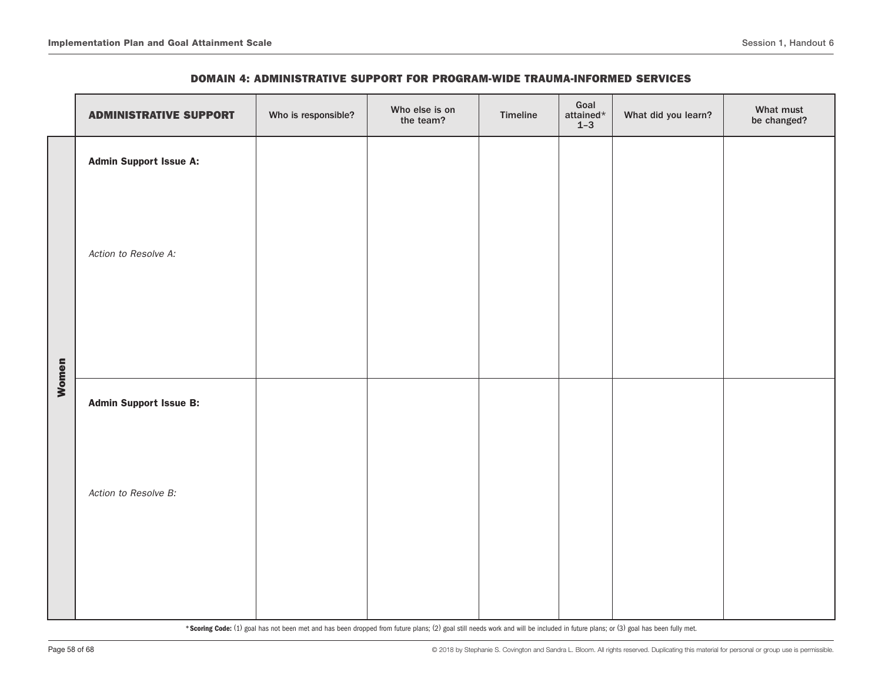|       | <b>ADMINISTRATIVE SUPPORT</b> | Who is responsible? | Who else is on<br>the team? | Timeline | Goal<br>attained $^{\star}$<br>$1-3$ | What did you learn? | What must<br>be changed? |
|-------|-------------------------------|---------------------|-----------------------------|----------|--------------------------------------|---------------------|--------------------------|
|       | <b>Admin Support Issue A:</b> |                     |                             |          |                                      |                     |                          |
|       | Action to Resolve A:          |                     |                             |          |                                      |                     |                          |
| Women | <b>Admin Support Issue B:</b> |                     |                             |          |                                      |                     |                          |
|       |                               |                     |                             |          |                                      |                     |                          |
|       | Action to Resolve B:          |                     |                             |          |                                      |                     |                          |
|       |                               |                     |                             |          |                                      |                     |                          |
|       |                               |                     |                             |          |                                      |                     |                          |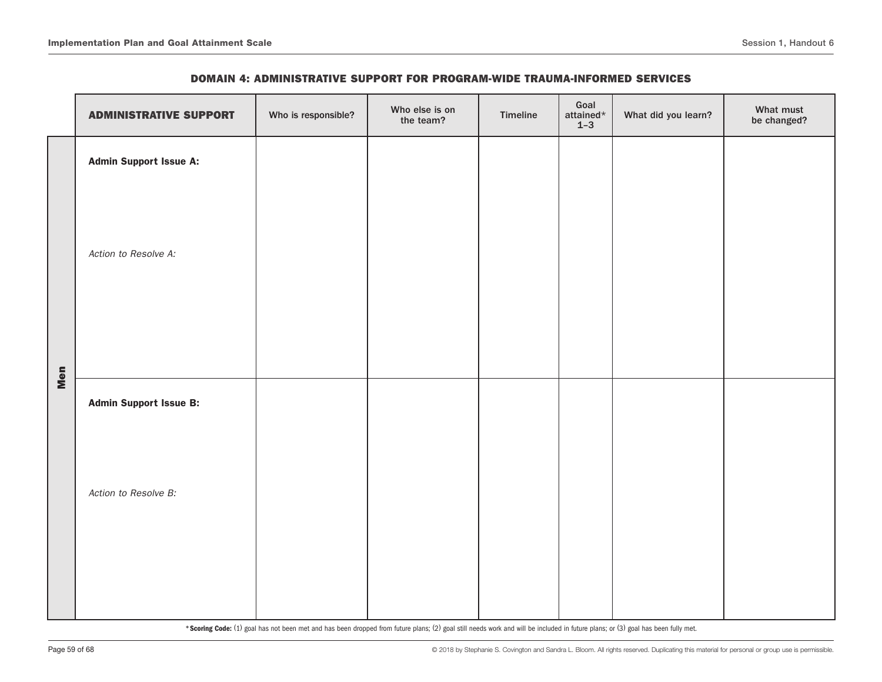|     | <b>ADMINISTRATIVE SUPPORT</b> | Who is responsible? | Who else is on<br>the team? | Timeline | Goal<br>attained*<br>$1-3$ | What did you learn? | What must<br>be changed? |
|-----|-------------------------------|---------------------|-----------------------------|----------|----------------------------|---------------------|--------------------------|
|     | <b>Admin Support Issue A:</b> |                     |                             |          |                            |                     |                          |
|     | Action to Resolve A:          |                     |                             |          |                            |                     |                          |
| Men | <b>Admin Support Issue B:</b> |                     |                             |          |                            |                     |                          |
|     | Action to Resolve B:          |                     |                             |          |                            |                     |                          |
|     |                               |                     |                             |          |                            |                     |                          |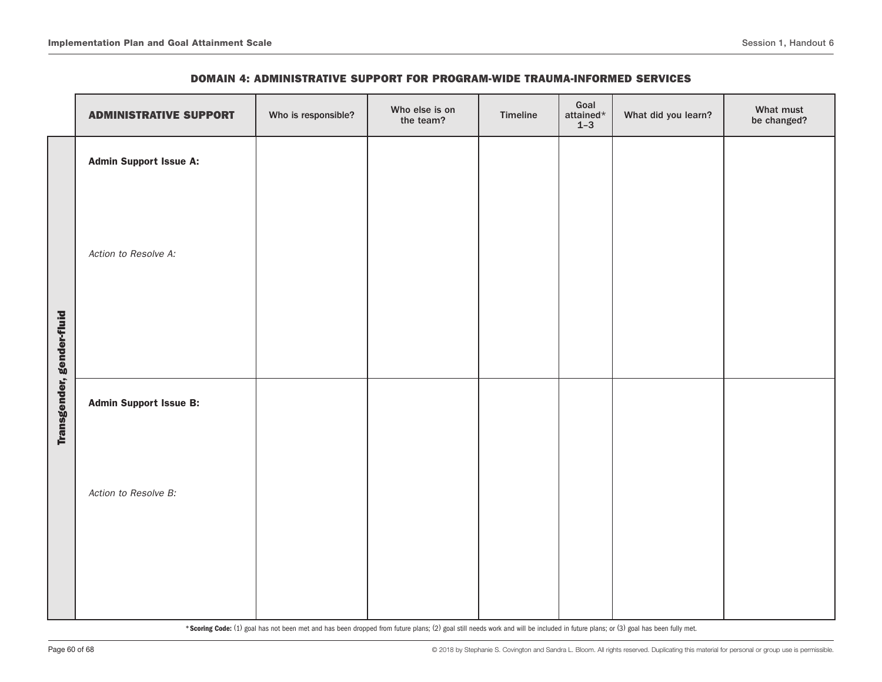|                           | <b>ADMINISTRATIVE SUPPORT</b> | Who is responsible? | Who else is on<br>the team? | Timeline | Goal<br>attained*<br>$1-3$ | What did you learn? | What must<br>be changed? |
|---------------------------|-------------------------------|---------------------|-----------------------------|----------|----------------------------|---------------------|--------------------------|
|                           | <b>Admin Support Issue A:</b> |                     |                             |          |                            |                     |                          |
|                           | Action to Resolve A:          |                     |                             |          |                            |                     |                          |
| Transgender, gender-fluid | <b>Admin Support Issue B:</b> |                     |                             |          |                            |                     |                          |
|                           | Action to Resolve B:          |                     |                             |          |                            |                     |                          |
|                           |                               |                     |                             |          |                            |                     |                          |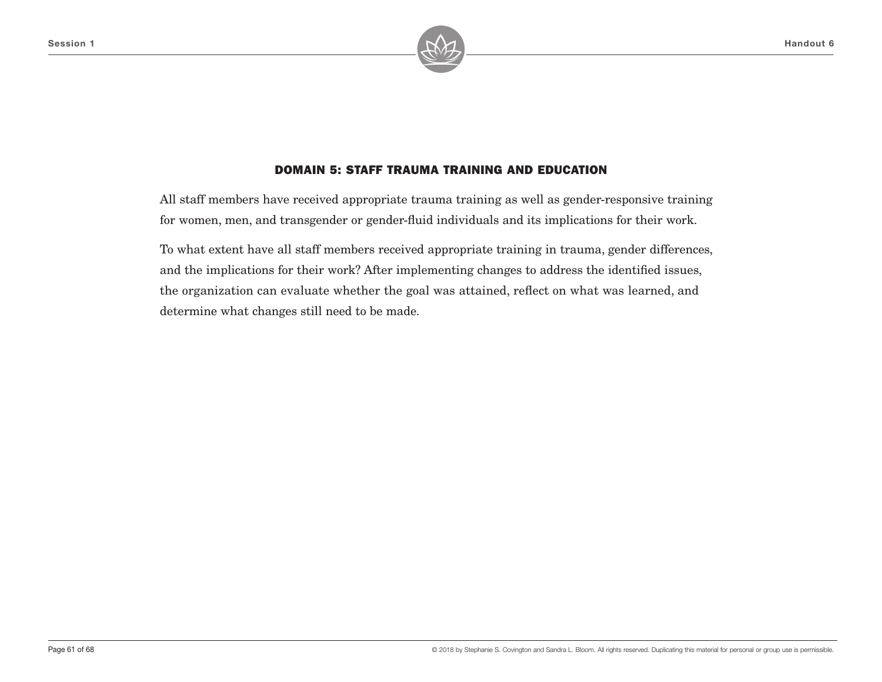

# DOMAIN 5: STAFF TRAUMA TRAINING AND EDUCATION

All staff members have received appropriate trauma training as well as gender-responsive training for women, men, and transgender or gender-fluid individuals and its implications for their work.

To what extent have all staff members received appropriate training in trauma, gender differences, and the implications for their work? After implementing changes to address the identified issues, the organization can evaluate whether the goal was attained, reflect on what was learned, and determine what changes still need to be made.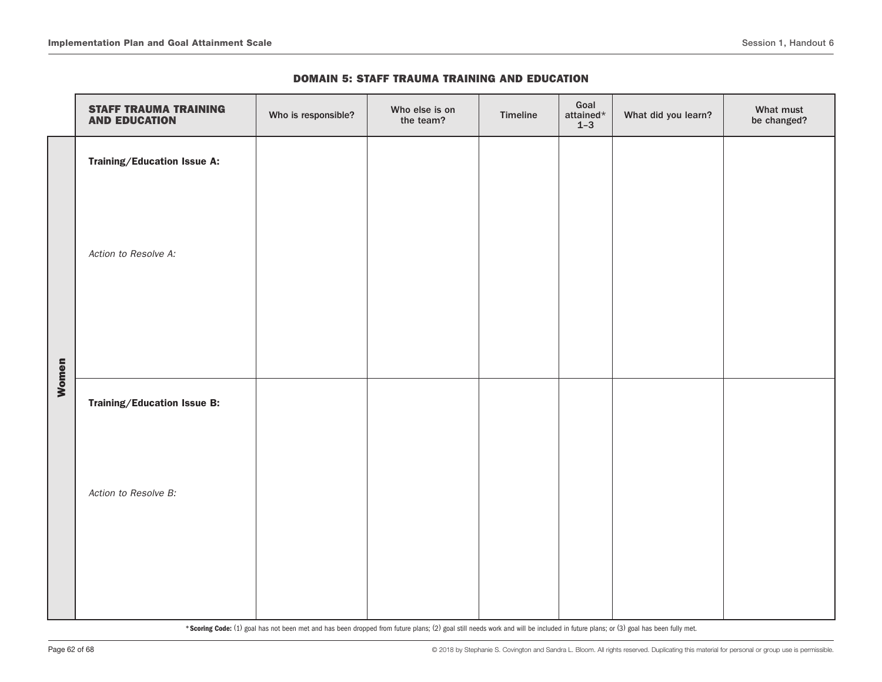|       | <b>STAFF TRAUMA TRAINING</b><br><b>AND EDUCATION</b> | Who is responsible? | Who else is on<br>the team? | Timeline | Goal<br>attained*<br>$1 - 3$ | What did you learn? | What must<br>be changed? |
|-------|------------------------------------------------------|---------------------|-----------------------------|----------|------------------------------|---------------------|--------------------------|
|       | Training/Education Issue A:                          |                     |                             |          |                              |                     |                          |
|       |                                                      |                     |                             |          |                              |                     |                          |
|       | Action to Resolve A:                                 |                     |                             |          |                              |                     |                          |
|       |                                                      |                     |                             |          |                              |                     |                          |
|       |                                                      |                     |                             |          |                              |                     |                          |
| Women |                                                      |                     |                             |          |                              |                     |                          |
|       | Training/Education Issue B:                          |                     |                             |          |                              |                     |                          |
|       |                                                      |                     |                             |          |                              |                     |                          |
|       | Action to Resolve B:                                 |                     |                             |          |                              |                     |                          |
|       |                                                      |                     |                             |          |                              |                     |                          |
|       |                                                      |                     |                             |          |                              |                     |                          |
|       |                                                      |                     |                             |          |                              |                     |                          |

#### DOMAIN 5: STAFF TRAUMA TRAINING AND EDUCATION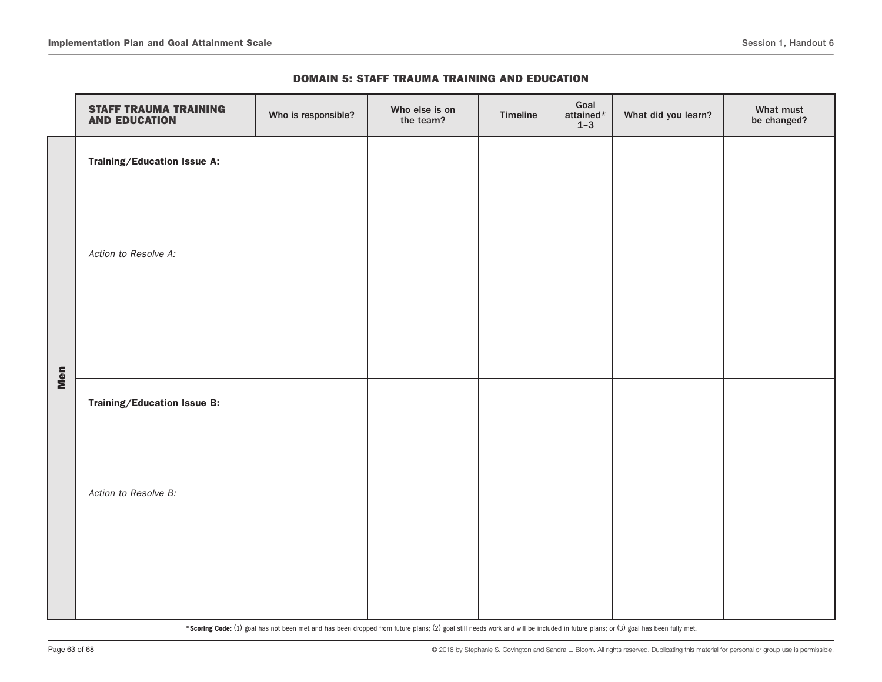|  |  | <b>DOMAIN 5: STAFF TRAUMA TRAINING AND EDUCATION</b> |  |  |
|--|--|------------------------------------------------------|--|--|
|--|--|------------------------------------------------------|--|--|

|     | <b>STAFF TRAUMA TRAINING</b><br><b>AND EDUCATION</b> | Who is responsible? | Who else is on<br>the team? | Timeline | Goal<br>attained*<br>$1 - 3$ | What did you learn? | What must<br>be changed? |
|-----|------------------------------------------------------|---------------------|-----------------------------|----------|------------------------------|---------------------|--------------------------|
|     | Training/Education Issue A:                          |                     |                             |          |                              |                     |                          |
|     | Action to Resolve A:                                 |                     |                             |          |                              |                     |                          |
| Men | Training/Education Issue B:                          |                     |                             |          |                              |                     |                          |
|     | Action to Resolve B:                                 |                     |                             |          |                              |                     |                          |
|     |                                                      |                     |                             |          |                              |                     |                          |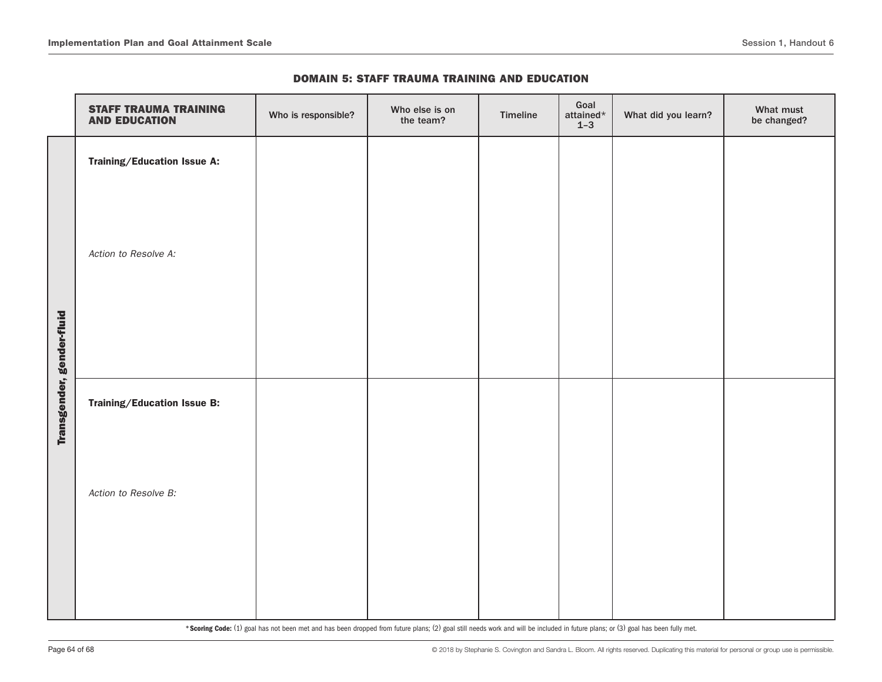|                           | <b>STAFF TRAUMA TRAINING</b><br><b>AND EDUCATION</b> | Who is responsible? | Who else is on<br>the team? | Timeline | Goal<br>attained*<br>$1 - 3$ | What did you learn? | What must<br>be changed? |
|---------------------------|------------------------------------------------------|---------------------|-----------------------------|----------|------------------------------|---------------------|--------------------------|
|                           | Training/Education Issue A:                          |                     |                             |          |                              |                     |                          |
|                           | Action to Resolve A:                                 |                     |                             |          |                              |                     |                          |
| Transgender, gender-fluid | Training/Education Issue B:                          |                     |                             |          |                              |                     |                          |
|                           | Action to Resolve B:                                 |                     |                             |          |                              |                     |                          |
|                           |                                                      |                     |                             |          |                              |                     |                          |

#### DOMAIN 5: STAFF TRAUMA TRAINING AND EDUCATION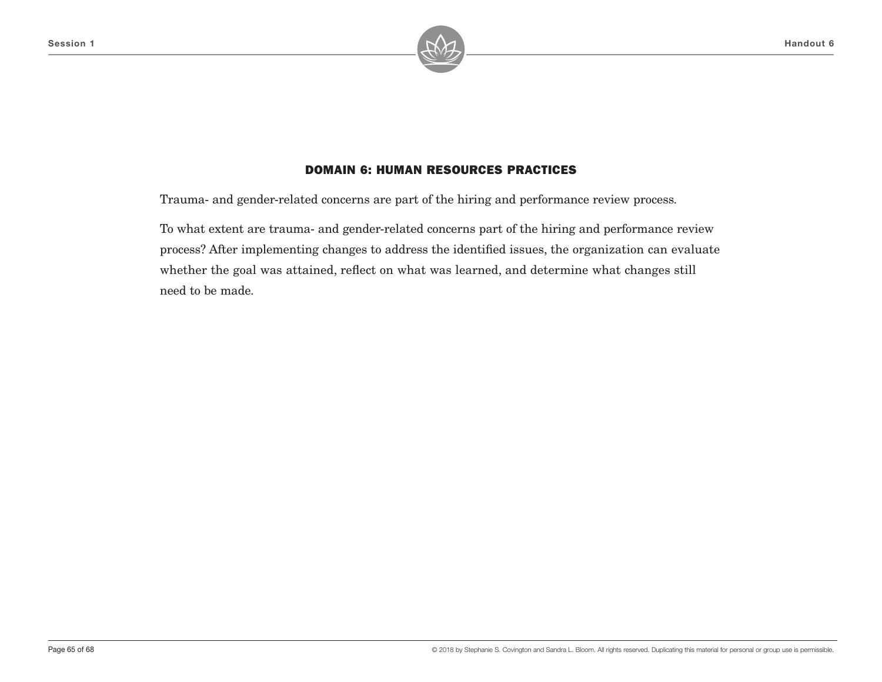

Trauma- and gender-related concerns are part of the hiring and performance review process.

To what extent are trauma- and gender-related concerns part of the hiring and performance review process? After implementing changes to address the identified issues, the organization can evaluate whether the goal was attained, reflect on what was learned, and determine what changes still need to be made.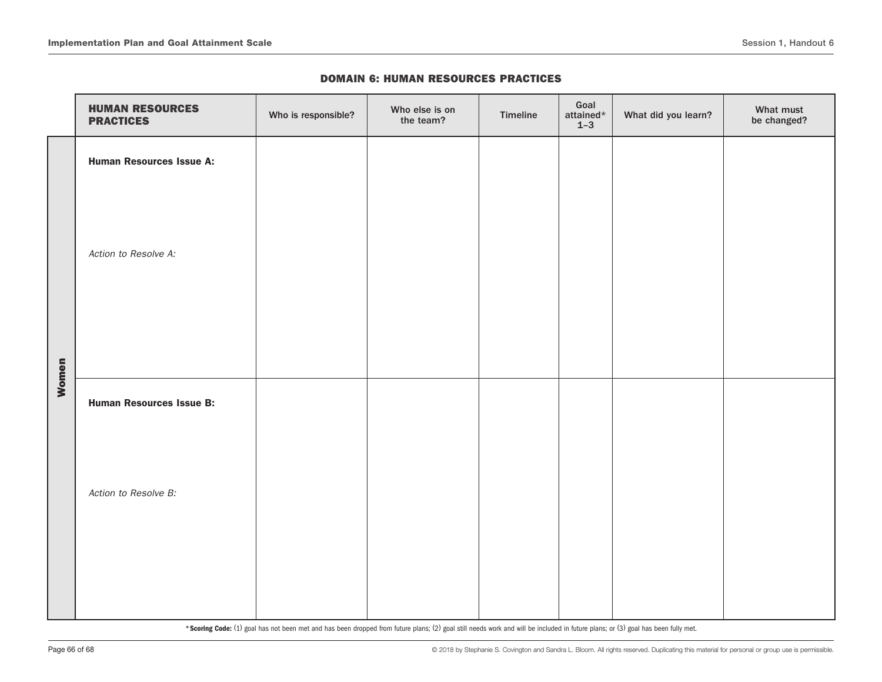|       | <b>HUMAN RESOURCES</b><br><b>PRACTICES</b> | Who is responsible? | Who else is on<br>the team? | Timeline | Goal<br>attained*<br>$1-3$ | What did you learn? | What must<br>be changed? |
|-------|--------------------------------------------|---------------------|-----------------------------|----------|----------------------------|---------------------|--------------------------|
|       | <b>Human Resources Issue A:</b>            |                     |                             |          |                            |                     |                          |
|       |                                            |                     |                             |          |                            |                     |                          |
|       | Action to Resolve A:                       |                     |                             |          |                            |                     |                          |
|       |                                            |                     |                             |          |                            |                     |                          |
|       |                                            |                     |                             |          |                            |                     |                          |
|       |                                            |                     |                             |          |                            |                     |                          |
| Women | <b>Human Resources Issue B:</b>            |                     |                             |          |                            |                     |                          |
|       |                                            |                     |                             |          |                            |                     |                          |
|       | Action to Resolve B:                       |                     |                             |          |                            |                     |                          |
|       |                                            |                     |                             |          |                            |                     |                          |
|       |                                            |                     |                             |          |                            |                     |                          |
|       |                                            |                     |                             |          |                            |                     |                          |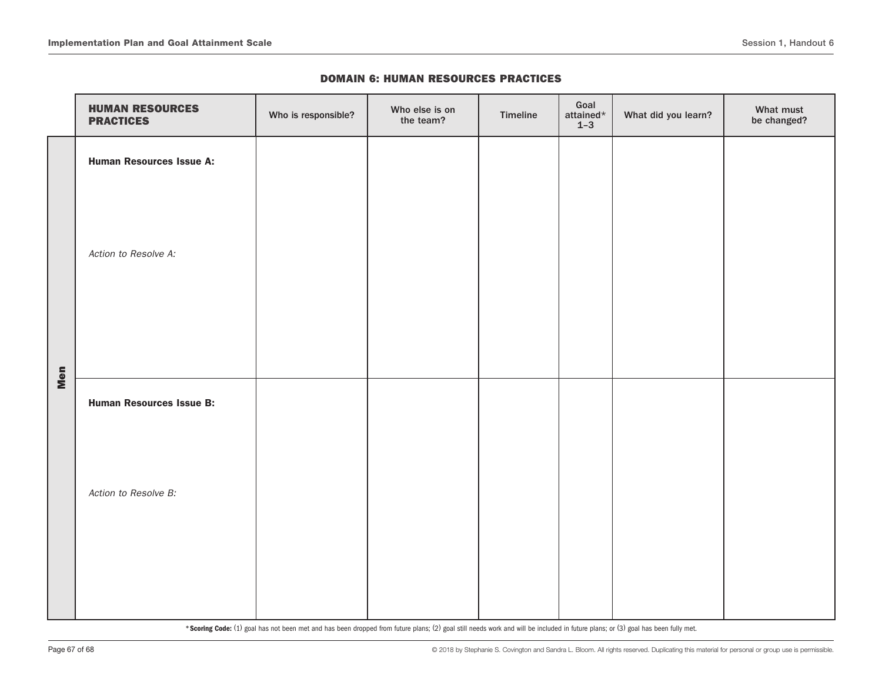|     | <b>HUMAN RESOURCES</b><br><b>PRACTICES</b> | Who is responsible? | Who else is on<br>the team? | Timeline | Goal<br>attained $\star$<br>$1 - 3$ | What did you learn? | What must<br>be changed? |
|-----|--------------------------------------------|---------------------|-----------------------------|----------|-------------------------------------|---------------------|--------------------------|
|     | <b>Human Resources Issue A:</b>            |                     |                             |          |                                     |                     |                          |
|     | Action to Resolve A:                       |                     |                             |          |                                     |                     |                          |
| Men | <b>Human Resources Issue B:</b>            |                     |                             |          |                                     |                     |                          |
|     | Action to Resolve B:                       |                     |                             |          |                                     |                     |                          |
|     |                                            |                     |                             |          |                                     |                     |                          |